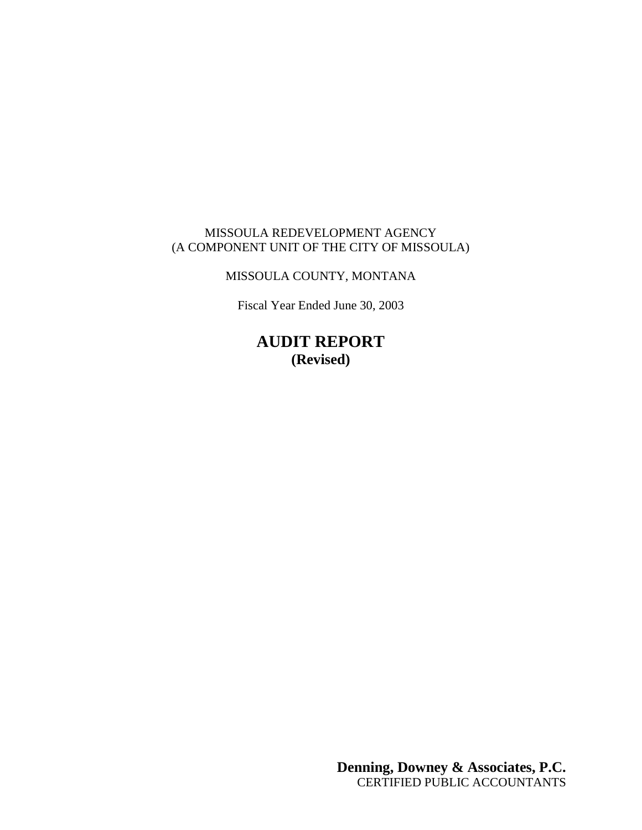## MISSOULA REDEVELOPMENT AGENCY (A COMPONENT UNIT OF THE CITY OF MISSOULA)

## MISSOULA COUNTY, MONTANA

Fiscal Year Ended June 30, 2003

**AUDIT REPORT (Revised)**

> **Denning, Downey & Associates, P.C.** CERTIFIED PUBLIC ACCOUNTANTS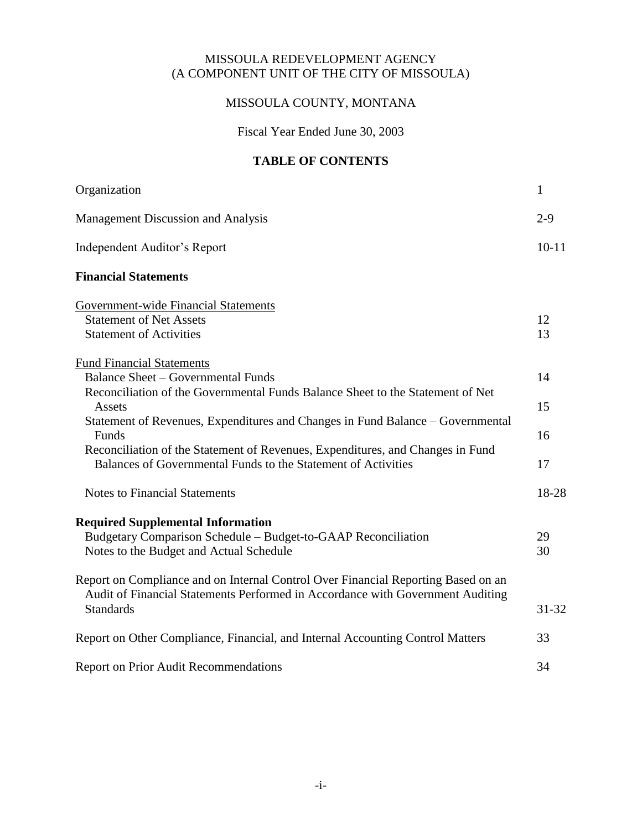#### MISSOULA REDEVELOPMENT AGENCY (A COMPONENT UNIT OF THE CITY OF MISSOULA)

## MISSOULA COUNTY, MONTANA

Fiscal Year Ended June 30, 2003

### **TABLE OF CONTENTS**

| Organization                                                                                                                                                                                                                               | $\mathbf{1}$ |
|--------------------------------------------------------------------------------------------------------------------------------------------------------------------------------------------------------------------------------------------|--------------|
| Management Discussion and Analysis                                                                                                                                                                                                         | $2 - 9$      |
| <b>Independent Auditor's Report</b>                                                                                                                                                                                                        | $10 - 11$    |
| <b>Financial Statements</b>                                                                                                                                                                                                                |              |
| <b>Government-wide Financial Statements</b><br><b>Statement of Net Assets</b><br><b>Statement of Activities</b>                                                                                                                            | 12<br>13     |
| <b>Fund Financial Statements</b><br><b>Balance Sheet - Governmental Funds</b><br>Reconciliation of the Governmental Funds Balance Sheet to the Statement of Net<br>Assets                                                                  | 14<br>15     |
| Statement of Revenues, Expenditures and Changes in Fund Balance – Governmental<br>Funds<br>Reconciliation of the Statement of Revenues, Expenditures, and Changes in Fund<br>Balances of Governmental Funds to the Statement of Activities | 16<br>17     |
| <b>Notes to Financial Statements</b>                                                                                                                                                                                                       | 18-28        |
| <b>Required Supplemental Information</b><br>Budgetary Comparison Schedule – Budget-to-GAAP Reconciliation<br>Notes to the Budget and Actual Schedule                                                                                       | 29<br>30     |
| Report on Compliance and on Internal Control Over Financial Reporting Based on an<br>Audit of Financial Statements Performed in Accordance with Government Auditing<br><b>Standards</b>                                                    | $31 - 32$    |
| Report on Other Compliance, Financial, and Internal Accounting Control Matters                                                                                                                                                             | 33           |
| <b>Report on Prior Audit Recommendations</b>                                                                                                                                                                                               | 34           |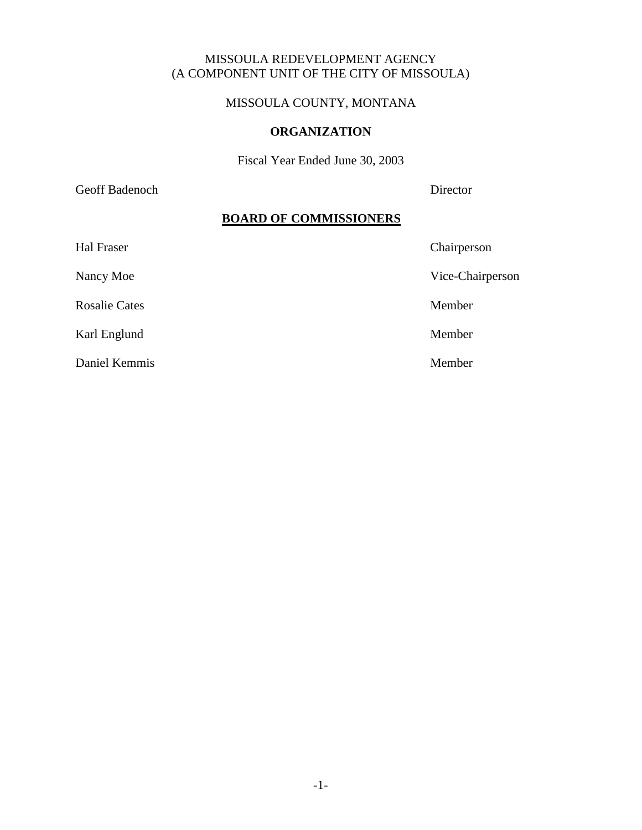#### MISSOULA REDEVELOPMENT AGENCY (A COMPONENT UNIT OF THE CITY OF MISSOULA)

### MISSOULA COUNTY, MONTANA

#### **ORGANIZATION**

Fiscal Year Ended June 30, 2003

Geoff Badenoch Director

#### **BOARD OF COMMISSIONERS**

| Hal Fraser           | Chairperson      |
|----------------------|------------------|
| Nancy Moe            | Vice-Chairperson |
| <b>Rosalie Cates</b> | Member           |
| Karl Englund         | Member           |
| Daniel Kemmis        | Member           |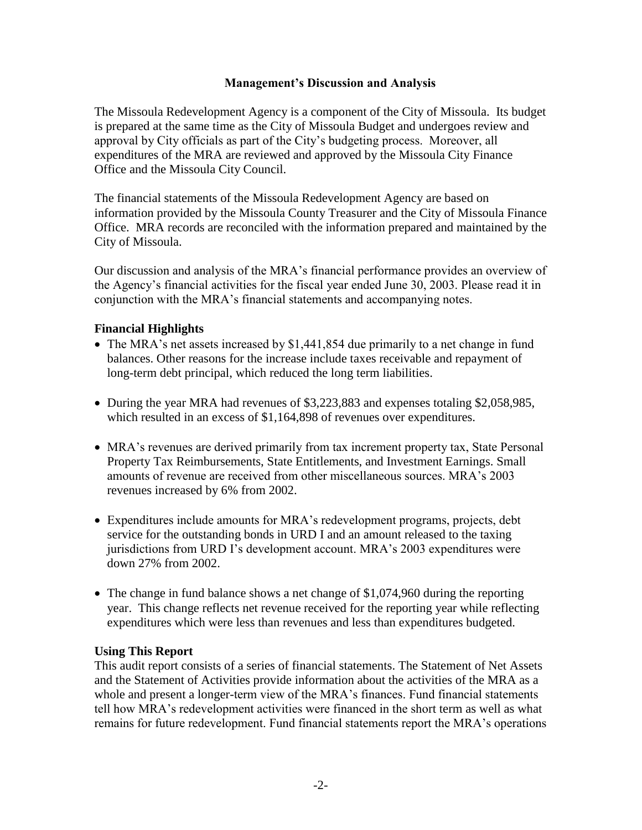#### **Management's Discussion and Analysis**

The Missoula Redevelopment Agency is a component of the City of Missoula. Its budget is prepared at the same time as the City of Missoula Budget and undergoes review and approval by City officials as part of the City's budgeting process. Moreover, all expenditures of the MRA are reviewed and approved by the Missoula City Finance Office and the Missoula City Council.

The financial statements of the Missoula Redevelopment Agency are based on information provided by the Missoula County Treasurer and the City of Missoula Finance Office. MRA records are reconciled with the information prepared and maintained by the City of Missoula.

Our discussion and analysis of the MRA's financial performance provides an overview of the Agency's financial activities for the fiscal year ended June 30, 2003. Please read it in conjunction with the MRA's financial statements and accompanying notes.

#### **Financial Highlights**

- The MRA's net assets increased by \$1,441,854 due primarily to a net change in fund balances. Other reasons for the increase include taxes receivable and repayment of long-term debt principal, which reduced the long term liabilities.
- During the year MRA had revenues of \$3,223,883 and expenses totaling \$2,058,985, which resulted in an excess of \$1,164,898 of revenues over expenditures.
- MRA's revenues are derived primarily from tax increment property tax, State Personal Property Tax Reimbursements, State Entitlements, and Investment Earnings. Small amounts of revenue are received from other miscellaneous sources. MRA's 2003 revenues increased by 6% from 2002.
- Expenditures include amounts for MRA's redevelopment programs, projects, debt service for the outstanding bonds in URD I and an amount released to the taxing jurisdictions from URD I's development account. MRA's 2003 expenditures were down 27% from 2002.
- The change in fund balance shows a net change of \$1,074,960 during the reporting year. This change reflects net revenue received for the reporting year while reflecting expenditures which were less than revenues and less than expenditures budgeted.

#### **Using This Report**

This audit report consists of a series of financial statements. The Statement of Net Assets and the Statement of Activities provide information about the activities of the MRA as a whole and present a longer-term view of the MRA's finances. Fund financial statements tell how MRA's redevelopment activities were financed in the short term as well as what remains for future redevelopment. Fund financial statements report the MRA's operations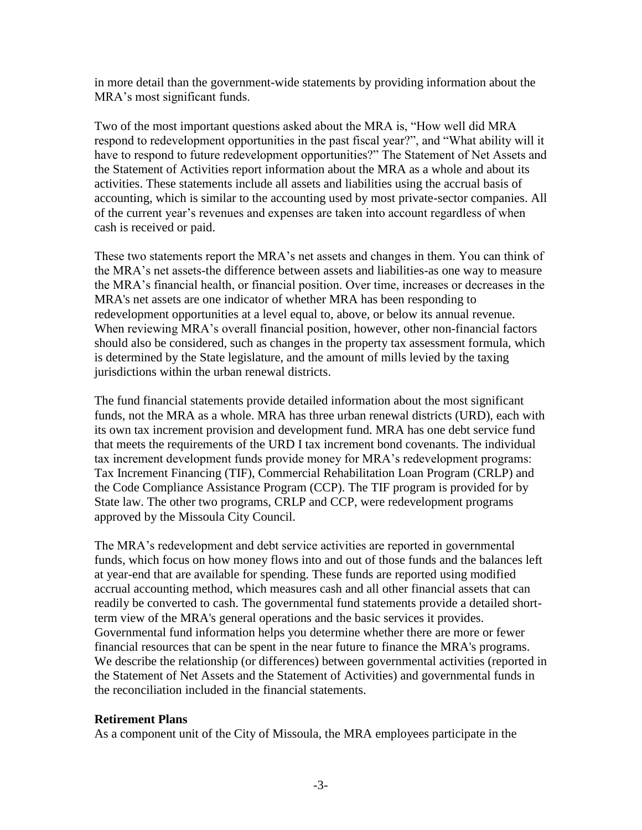in more detail than the government-wide statements by providing information about the MRA's most significant funds.

Two of the most important questions asked about the MRA is, "How well did MRA respond to redevelopment opportunities in the past fiscal year?", and "What ability will it have to respond to future redevelopment opportunities?" The Statement of Net Assets and the Statement of Activities report information about the MRA as a whole and about its activities. These statements include all assets and liabilities using the accrual basis of accounting, which is similar to the accounting used by most private-sector companies. All of the current year's revenues and expenses are taken into account regardless of when cash is received or paid.

These two statements report the MRA's net assets and changes in them. You can think of the MRA's net assets-the difference between assets and liabilities-as one way to measure the MRA's financial health, or financial position. Over time, increases or decreases in the MRA's net assets are one indicator of whether MRA has been responding to redevelopment opportunities at a level equal to, above, or below its annual revenue. When reviewing MRA's overall financial position, however, other non-financial factors should also be considered, such as changes in the property tax assessment formula, which is determined by the State legislature, and the amount of mills levied by the taxing jurisdictions within the urban renewal districts.

The fund financial statements provide detailed information about the most significant funds, not the MRA as a whole. MRA has three urban renewal districts (URD), each with its own tax increment provision and development fund. MRA has one debt service fund that meets the requirements of the URD I tax increment bond covenants. The individual tax increment development funds provide money for MRA's redevelopment programs: Tax Increment Financing (TIF), Commercial Rehabilitation Loan Program (CRLP) and the Code Compliance Assistance Program (CCP). The TIF program is provided for by State law. The other two programs, CRLP and CCP, were redevelopment programs approved by the Missoula City Council.

The MRA's redevelopment and debt service activities are reported in governmental funds, which focus on how money flows into and out of those funds and the balances left at year-end that are available for spending. These funds are reported using modified accrual accounting method, which measures cash and all other financial assets that can readily be converted to cash. The governmental fund statements provide a detailed shortterm view of the MRA's general operations and the basic services it provides. Governmental fund information helps you determine whether there are more or fewer financial resources that can be spent in the near future to finance the MRA's programs. We describe the relationship (or differences) between governmental activities (reported in the Statement of Net Assets and the Statement of Activities) and governmental funds in the reconciliation included in the financial statements.

### **Retirement Plans**

As a component unit of the City of Missoula, the MRA employees participate in the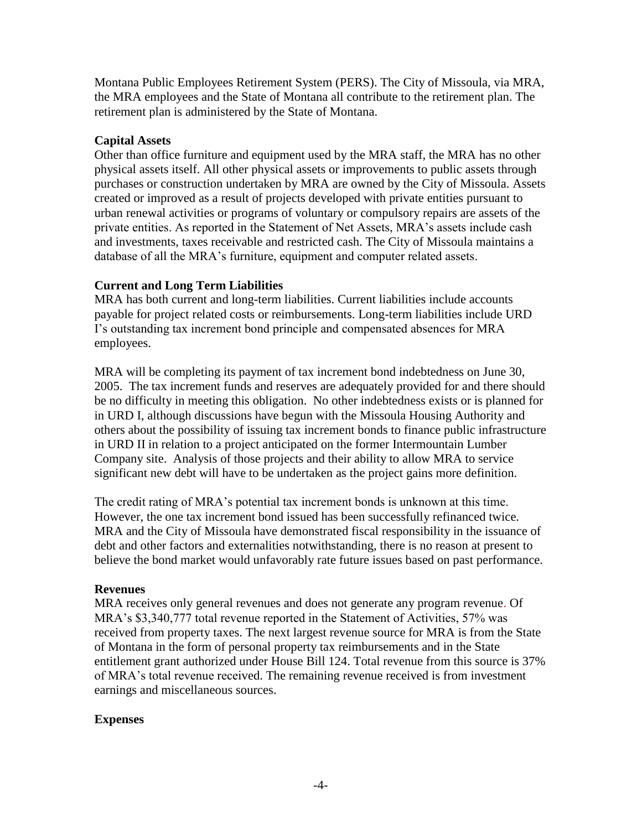Montana Public Employees Retirement System (PERS). The City of Missoula, via MRA, the MRA employees and the State of Montana all contribute to the retirement plan. The retirement plan is administered by the State of Montana.

#### **Capital Assets**

Other than office furniture and equipment used by the MRA staff, the MRA has no other physical assets itself. All other physical assets or improvements to public assets through purchases or construction undertaken by MRA are owned by the City of Missoula. Assets created or improved as a result of projects developed with private entities pursuant to urban renewal activities or programs of voluntary or compulsory repairs are assets of the private entities. As reported in the Statement of Net Assets, MRA's assets include cash and investments, taxes receivable and restricted cash. The City of Missoula maintains a database of all the MRA's furniture, equipment and computer related assets.

### **Current and Long Term Liabilities**

MRA has both current and long-term liabilities. Current liabilities include accounts payable for project related costs or reimbursements. Long-term liabilities include URD I's outstanding tax increment bond principle and compensated absences for MRA employees.

MRA will be completing its payment of tax increment bond indebtedness on June 30, 2005. The tax increment funds and reserves are adequately provided for and there should be no difficulty in meeting this obligation. No other indebtedness exists or is planned for in URD I, although discussions have begun with the Missoula Housing Authority and others about the possibility of issuing tax increment bonds to finance public infrastructure in URD II in relation to a project anticipated on the former Intermountain Lumber Company site. Analysis of those projects and their ability to allow MRA to service significant new debt will have to be undertaken as the project gains more definition.

The credit rating of MRA's potential tax increment bonds is unknown at this time. However, the one tax increment bond issued has been successfully refinanced twice. MRA and the City of Missoula have demonstrated fiscal responsibility in the issuance of debt and other factors and externalities notwithstanding, there is no reason at present to believe the bond market would unfavorably rate future issues based on past performance.

### **Revenues**

MRA receives only general revenues and does not generate any program revenue. Of MRA's \$3,340,777 total revenue reported in the Statement of Activities, 57% was received from property taxes. The next largest revenue source for MRA is from the State of Montana in the form of personal property tax reimbursements and in the State entitlement grant authorized under House Bill 124. Total revenue from this source is 37% of MRA's total revenue received. The remaining revenue received is from investment earnings and miscellaneous sources.

### **Expenses**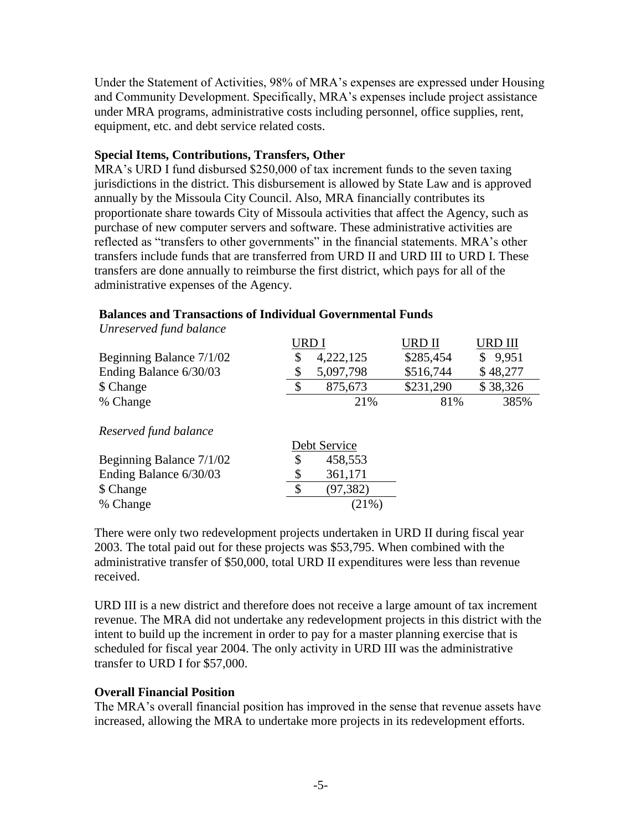Under the Statement of Activities, 98% of MRA's expenses are expressed under Housing and Community Development. Specifically, MRA's expenses include project assistance under MRA programs, administrative costs including personnel, office supplies, rent, equipment, etc. and debt service related costs.

#### **Special Items, Contributions, Transfers, Other**

MRA's URD I fund disbursed \$250,000 of tax increment funds to the seven taxing jurisdictions in the district. This disbursement is allowed by State Law and is approved annually by the Missoula City Council. Also, MRA financially contributes its proportionate share towards City of Missoula activities that affect the Agency, such as purchase of new computer servers and software. These administrative activities are reflected as "transfers to other governments" in the financial statements. MRA's other transfers include funds that are transferred from URD II and URD III to URD I. These transfers are done annually to reimburse the first district, which pays for all of the administrative expenses of the Agency.

### **Balances and Transactions of Individual Governmental Funds**

*Unreserved fund balance*

|                          | URD I |           | URD II    | URD III  |
|--------------------------|-------|-----------|-----------|----------|
| Beginning Balance 7/1/02 |       | 4,222,125 | \$285,454 | \$9,951  |
| Ending Balance 6/30/03   |       | 5,097,798 | \$516,744 | \$48,277 |
| \$ Change                |       | 875,673   | \$231,290 | \$38,326 |
| % Change                 |       | 21%       | 81%       | 385%     |
|                          |       |           |           |          |

 $\overline{D}$ 

*Reserved fund balance*

|                          | Debt Service |
|--------------------------|--------------|
| Beginning Balance 7/1/02 | 458,553      |
| Ending Balance 6/30/03   | 361,171      |
| \$ Change                | (97, 382)    |
| % Change                 | $(21\%)$     |

There were only two redevelopment projects undertaken in URD II during fiscal year 2003. The total paid out for these projects was \$53,795. When combined with the administrative transfer of \$50,000, total URD II expenditures were less than revenue received.

URD III is a new district and therefore does not receive a large amount of tax increment revenue. The MRA did not undertake any redevelopment projects in this district with the intent to build up the increment in order to pay for a master planning exercise that is scheduled for fiscal year 2004. The only activity in URD III was the administrative transfer to URD I for \$57,000.

### **Overall Financial Position**

The MRA's overall financial position has improved in the sense that revenue assets have increased, allowing the MRA to undertake more projects in its redevelopment efforts.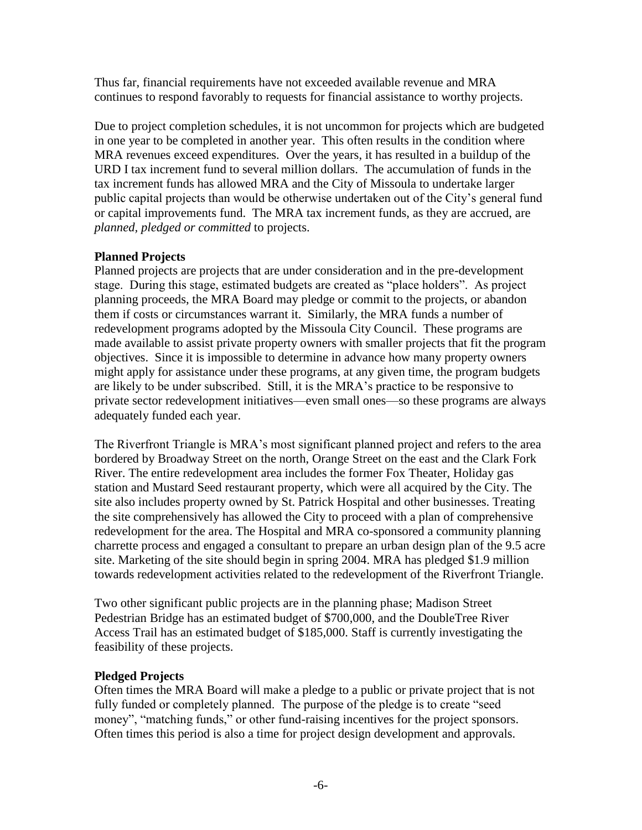Thus far, financial requirements have not exceeded available revenue and MRA continues to respond favorably to requests for financial assistance to worthy projects.

Due to project completion schedules, it is not uncommon for projects which are budgeted in one year to be completed in another year. This often results in the condition where MRA revenues exceed expenditures. Over the years, it has resulted in a buildup of the URD I tax increment fund to several million dollars. The accumulation of funds in the tax increment funds has allowed MRA and the City of Missoula to undertake larger public capital projects than would be otherwise undertaken out of the City's general fund or capital improvements fund. The MRA tax increment funds, as they are accrued, are *planned, pledged or committed* to projects.

## **Planned Projects**

Planned projects are projects that are under consideration and in the pre-development stage. During this stage, estimated budgets are created as "place holders". As project planning proceeds, the MRA Board may pledge or commit to the projects, or abandon them if costs or circumstances warrant it. Similarly, the MRA funds a number of redevelopment programs adopted by the Missoula City Council. These programs are made available to assist private property owners with smaller projects that fit the program objectives. Since it is impossible to determine in advance how many property owners might apply for assistance under these programs, at any given time, the program budgets are likely to be under subscribed. Still, it is the MRA's practice to be responsive to private sector redevelopment initiatives—even small ones—so these programs are always adequately funded each year.

The Riverfront Triangle is MRA's most significant planned project and refers to the area bordered by Broadway Street on the north, Orange Street on the east and the Clark Fork River. The entire redevelopment area includes the former Fox Theater, Holiday gas station and Mustard Seed restaurant property, which were all acquired by the City. The site also includes property owned by St. Patrick Hospital and other businesses. Treating the site comprehensively has allowed the City to proceed with a plan of comprehensive redevelopment for the area. The Hospital and MRA co-sponsored a community planning charrette process and engaged a consultant to prepare an urban design plan of the 9.5 acre site. Marketing of the site should begin in spring 2004. MRA has pledged \$1.9 million towards redevelopment activities related to the redevelopment of the Riverfront Triangle.

Two other significant public projects are in the planning phase; Madison Street Pedestrian Bridge has an estimated budget of \$700,000, and the DoubleTree River Access Trail has an estimated budget of \$185,000. Staff is currently investigating the feasibility of these projects.

### **Pledged Projects**

Often times the MRA Board will make a pledge to a public or private project that is not fully funded or completely planned. The purpose of the pledge is to create "seed money", "matching funds," or other fund-raising incentives for the project sponsors. Often times this period is also a time for project design development and approvals.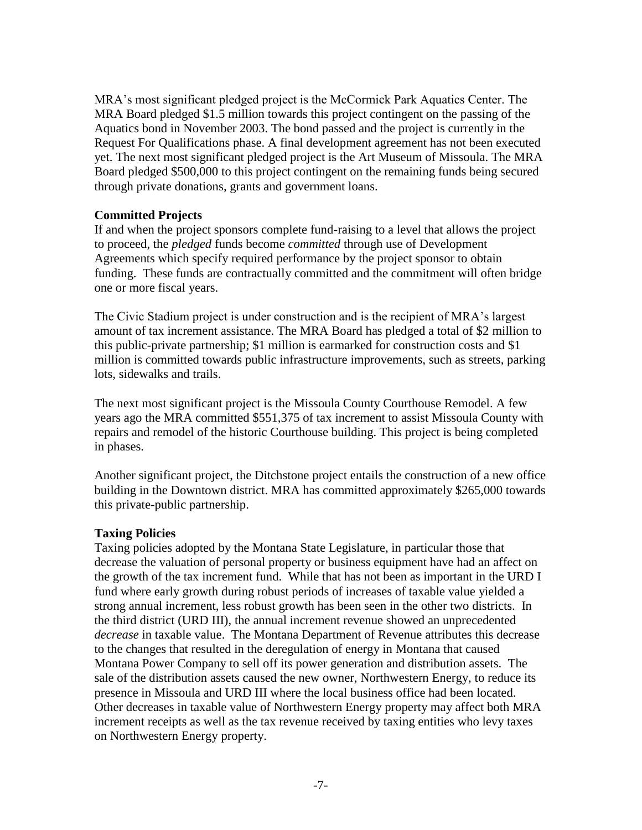MRA's most significant pledged project is the McCormick Park Aquatics Center. The MRA Board pledged \$1.5 million towards this project contingent on the passing of the Aquatics bond in November 2003. The bond passed and the project is currently in the Request For Qualifications phase. A final development agreement has not been executed yet. The next most significant pledged project is the Art Museum of Missoula. The MRA Board pledged \$500,000 to this project contingent on the remaining funds being secured through private donations, grants and government loans.

#### **Committed Projects**

If and when the project sponsors complete fund-raising to a level that allows the project to proceed, the *pledged* funds become *committed* through use of Development Agreements which specify required performance by the project sponsor to obtain funding. These funds are contractually committed and the commitment will often bridge one or more fiscal years.

The Civic Stadium project is under construction and is the recipient of MRA's largest amount of tax increment assistance. The MRA Board has pledged a total of \$2 million to this public-private partnership; \$1 million is earmarked for construction costs and \$1 million is committed towards public infrastructure improvements, such as streets, parking lots, sidewalks and trails.

The next most significant project is the Missoula County Courthouse Remodel. A few years ago the MRA committed \$551,375 of tax increment to assist Missoula County with repairs and remodel of the historic Courthouse building. This project is being completed in phases.

Another significant project, the Ditchstone project entails the construction of a new office building in the Downtown district. MRA has committed approximately \$265,000 towards this private-public partnership.

### **Taxing Policies**

Taxing policies adopted by the Montana State Legislature, in particular those that decrease the valuation of personal property or business equipment have had an affect on the growth of the tax increment fund. While that has not been as important in the URD I fund where early growth during robust periods of increases of taxable value yielded a strong annual increment, less robust growth has been seen in the other two districts. In the third district (URD III), the annual increment revenue showed an unprecedented *decrease* in taxable value. The Montana Department of Revenue attributes this decrease to the changes that resulted in the deregulation of energy in Montana that caused Montana Power Company to sell off its power generation and distribution assets. The sale of the distribution assets caused the new owner, Northwestern Energy, to reduce its presence in Missoula and URD III where the local business office had been located. Other decreases in taxable value of Northwestern Energy property may affect both MRA increment receipts as well as the tax revenue received by taxing entities who levy taxes on Northwestern Energy property.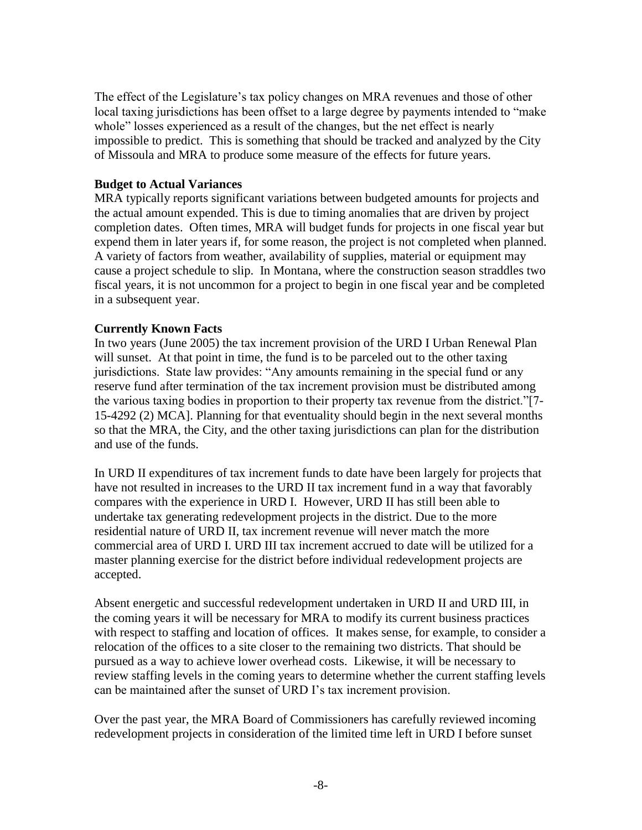The effect of the Legislature's tax policy changes on MRA revenues and those of other local taxing jurisdictions has been offset to a large degree by payments intended to "make" whole" losses experienced as a result of the changes, but the net effect is nearly impossible to predict. This is something that should be tracked and analyzed by the City of Missoula and MRA to produce some measure of the effects for future years.

#### **Budget to Actual Variances**

MRA typically reports significant variations between budgeted amounts for projects and the actual amount expended. This is due to timing anomalies that are driven by project completion dates. Often times, MRA will budget funds for projects in one fiscal year but expend them in later years if, for some reason, the project is not completed when planned. A variety of factors from weather, availability of supplies, material or equipment may cause a project schedule to slip. In Montana, where the construction season straddles two fiscal years, it is not uncommon for a project to begin in one fiscal year and be completed in a subsequent year.

#### **Currently Known Facts**

In two years (June 2005) the tax increment provision of the URD I Urban Renewal Plan will sunset. At that point in time, the fund is to be parceled out to the other taxing jurisdictions. State law provides: "Any amounts remaining in the special fund or any reserve fund after termination of the tax increment provision must be distributed among the various taxing bodies in proportion to their property tax revenue from the district."[7-15-4292 (2) MCA]. Planning for that eventuality should begin in the next several months so that the MRA, the City, and the other taxing jurisdictions can plan for the distribution and use of the funds.

In URD II expenditures of tax increment funds to date have been largely for projects that have not resulted in increases to the URD II tax increment fund in a way that favorably compares with the experience in URD I. However, URD II has still been able to undertake tax generating redevelopment projects in the district. Due to the more residential nature of URD II, tax increment revenue will never match the more commercial area of URD I. URD III tax increment accrued to date will be utilized for a master planning exercise for the district before individual redevelopment projects are accepted.

Absent energetic and successful redevelopment undertaken in URD II and URD III, in the coming years it will be necessary for MRA to modify its current business practices with respect to staffing and location of offices. It makes sense, for example, to consider a relocation of the offices to a site closer to the remaining two districts. That should be pursued as a way to achieve lower overhead costs. Likewise, it will be necessary to review staffing levels in the coming years to determine whether the current staffing levels can be maintained after the sunset of URD I's tax increment provision.

Over the past year, the MRA Board of Commissioners has carefully reviewed incoming redevelopment projects in consideration of the limited time left in URD I before sunset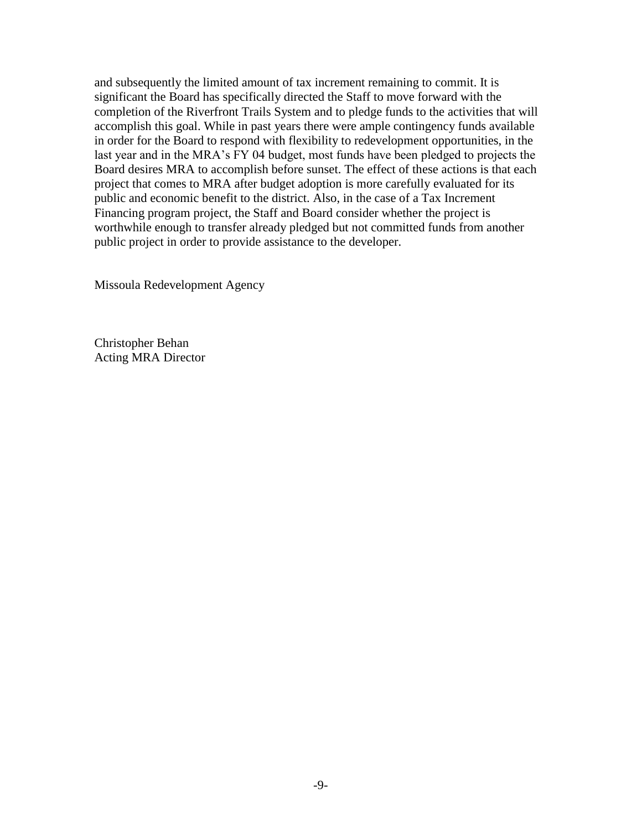and subsequently the limited amount of tax increment remaining to commit. It is significant the Board has specifically directed the Staff to move forward with the completion of the Riverfront Trails System and to pledge funds to the activities that will accomplish this goal. While in past years there were ample contingency funds available in order for the Board to respond with flexibility to redevelopment opportunities, in the last year and in the MRA's FY 04 budget, most funds have been pledged to projects the Board desires MRA to accomplish before sunset. The effect of these actions is that each project that comes to MRA after budget adoption is more carefully evaluated for its public and economic benefit to the district. Also, in the case of a Tax Increment Financing program project, the Staff and Board consider whether the project is worthwhile enough to transfer already pledged but not committed funds from another public project in order to provide assistance to the developer.

Missoula Redevelopment Agency

Christopher Behan Acting MRA Director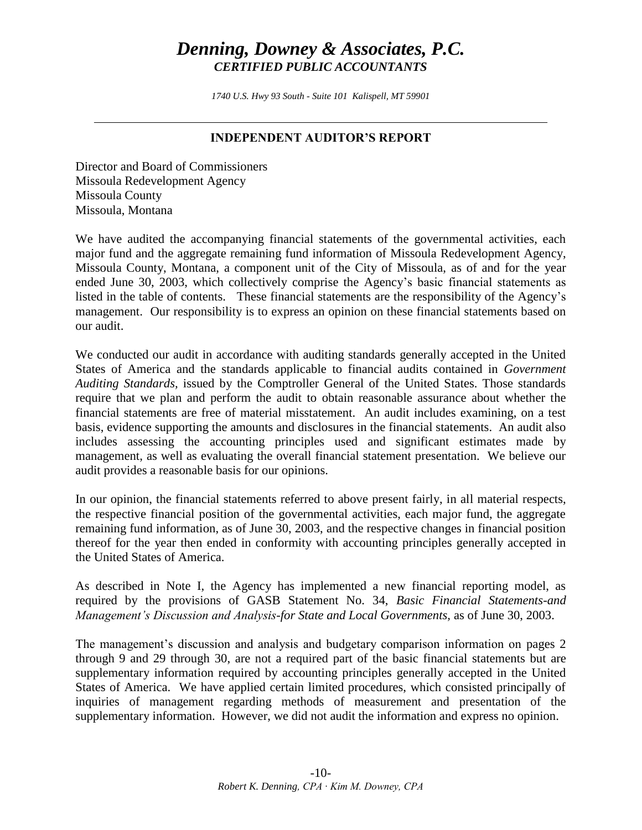# *Denning, Downey & Associates, P.C. CERTIFIED PUBLIC ACCOUNTANTS*

*1740 U.S. Hwy 93 South - Suite 101 Kalispell, MT 59901* 

## **INDEPENDENT AUDITOR'S REPORT**

Director and Board of Commissioners Missoula Redevelopment Agency Missoula County Missoula, Montana

We have audited the accompanying financial statements of the governmental activities, each major fund and the aggregate remaining fund information of Missoula Redevelopment Agency, Missoula County, Montana, a component unit of the City of Missoula, as of and for the year ended June 30, 2003, which collectively comprise the Agency's basic financial statements as listed in the table of contents. These financial statements are the responsibility of the Agency's management. Our responsibility is to express an opinion on these financial statements based on our audit.

We conducted our audit in accordance with auditing standards generally accepted in the United States of America and the standards applicable to financial audits contained in *Government Auditing Standards,* issued by the Comptroller General of the United States. Those standards require that we plan and perform the audit to obtain reasonable assurance about whether the financial statements are free of material misstatement. An audit includes examining, on a test basis, evidence supporting the amounts and disclosures in the financial statements. An audit also includes assessing the accounting principles used and significant estimates made by management, as well as evaluating the overall financial statement presentation. We believe our audit provides a reasonable basis for our opinions.

In our opinion, the financial statements referred to above present fairly, in all material respects, the respective financial position of the governmental activities, each major fund, the aggregate remaining fund information, as of June 30, 2003, and the respective changes in financial position thereof for the year then ended in conformity with accounting principles generally accepted in the United States of America.

As described in Note I, the Agency has implemented a new financial reporting model, as required by the provisions of GASB Statement No. 34, *Basic Financial Statements-and Management's Discussion and Analysis-for State and Local Governments,* as of June 30, 2003.

The management's discussion and analysis and budgetary comparison information on pages 2 through 9 and 29 through 30, are not a required part of the basic financial statements but are supplementary information required by accounting principles generally accepted in the United States of America. We have applied certain limited procedures, which consisted principally of inquiries of management regarding methods of measurement and presentation of the supplementary information. However, we did not audit the information and express no opinion.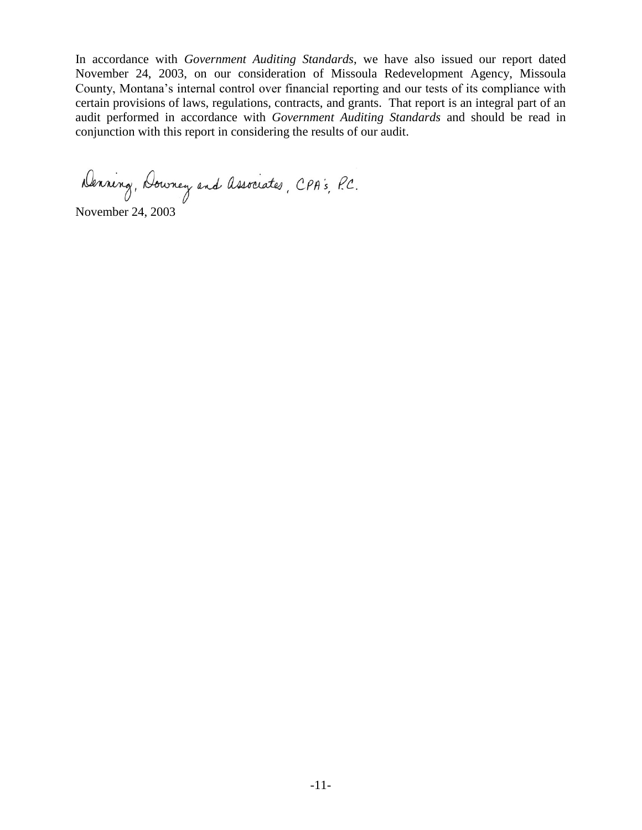In accordance with *Government Auditing Standards*, we have also issued our report dated November 24, 2003, on our consideration of Missoula Redevelopment Agency, Missoula County, Montana's internal control over financial reporting and our tests of its compliance with certain provisions of laws, regulations, contracts, and grants. That report is an integral part of an audit performed in accordance with *Government Auditing Standards* and should be read in conjunction with this report in considering the results of our audit.

Denning, Downey and Associates, CPA's, P.C.

November 24, 2003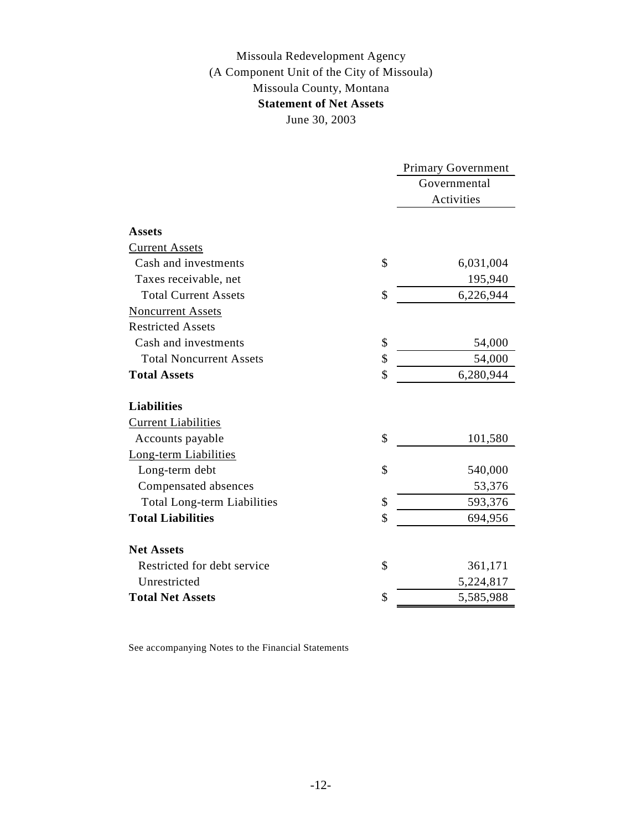## Missoula Redevelopment Agency **Statement of Net Assets** June 30, 2003 Missoula County, Montana (A Component Unit of the City of Missoula)

| Governmental<br>Activities<br><b>Assets</b><br><b>Current Assets</b><br>\$<br>Cash and investments<br>6,031,004<br>Taxes receivable, net<br>195,940<br>\$<br><b>Total Current Assets</b><br>6,226,944<br><b>Noncurrent Assets</b><br><b>Restricted Assets</b><br>Cash and investments<br>\$<br>54,000<br>\$<br>54,000<br><b>Total Noncurrent Assets</b><br>\$<br><b>Total Assets</b><br>6,280,944<br><b>Liabilities</b><br><b>Current Liabilities</b><br>\$<br>101,580<br>Accounts payable<br>Long-term Liabilities<br>\$<br>Long-term debt<br>540,000<br>Compensated absences<br>53,376<br>\$<br>593,376<br><b>Total Long-term Liabilities</b><br>\$<br><b>Total Liabilities</b><br>694,956<br><b>Net Assets</b><br>Restricted for debt service<br>\$<br>361,171<br>Unrestricted<br>5,224,817<br><b>Total Net Assets</b><br>\$<br>5,585,988 |  | <b>Primary Government</b> |
|----------------------------------------------------------------------------------------------------------------------------------------------------------------------------------------------------------------------------------------------------------------------------------------------------------------------------------------------------------------------------------------------------------------------------------------------------------------------------------------------------------------------------------------------------------------------------------------------------------------------------------------------------------------------------------------------------------------------------------------------------------------------------------------------------------------------------------------------|--|---------------------------|
|                                                                                                                                                                                                                                                                                                                                                                                                                                                                                                                                                                                                                                                                                                                                                                                                                                              |  |                           |
|                                                                                                                                                                                                                                                                                                                                                                                                                                                                                                                                                                                                                                                                                                                                                                                                                                              |  |                           |
|                                                                                                                                                                                                                                                                                                                                                                                                                                                                                                                                                                                                                                                                                                                                                                                                                                              |  |                           |
|                                                                                                                                                                                                                                                                                                                                                                                                                                                                                                                                                                                                                                                                                                                                                                                                                                              |  |                           |
|                                                                                                                                                                                                                                                                                                                                                                                                                                                                                                                                                                                                                                                                                                                                                                                                                                              |  |                           |
|                                                                                                                                                                                                                                                                                                                                                                                                                                                                                                                                                                                                                                                                                                                                                                                                                                              |  |                           |
|                                                                                                                                                                                                                                                                                                                                                                                                                                                                                                                                                                                                                                                                                                                                                                                                                                              |  |                           |
|                                                                                                                                                                                                                                                                                                                                                                                                                                                                                                                                                                                                                                                                                                                                                                                                                                              |  |                           |
|                                                                                                                                                                                                                                                                                                                                                                                                                                                                                                                                                                                                                                                                                                                                                                                                                                              |  |                           |
|                                                                                                                                                                                                                                                                                                                                                                                                                                                                                                                                                                                                                                                                                                                                                                                                                                              |  |                           |
|                                                                                                                                                                                                                                                                                                                                                                                                                                                                                                                                                                                                                                                                                                                                                                                                                                              |  |                           |
|                                                                                                                                                                                                                                                                                                                                                                                                                                                                                                                                                                                                                                                                                                                                                                                                                                              |  |                           |
|                                                                                                                                                                                                                                                                                                                                                                                                                                                                                                                                                                                                                                                                                                                                                                                                                                              |  |                           |
|                                                                                                                                                                                                                                                                                                                                                                                                                                                                                                                                                                                                                                                                                                                                                                                                                                              |  |                           |
|                                                                                                                                                                                                                                                                                                                                                                                                                                                                                                                                                                                                                                                                                                                                                                                                                                              |  |                           |
|                                                                                                                                                                                                                                                                                                                                                                                                                                                                                                                                                                                                                                                                                                                                                                                                                                              |  |                           |
|                                                                                                                                                                                                                                                                                                                                                                                                                                                                                                                                                                                                                                                                                                                                                                                                                                              |  |                           |
|                                                                                                                                                                                                                                                                                                                                                                                                                                                                                                                                                                                                                                                                                                                                                                                                                                              |  |                           |
|                                                                                                                                                                                                                                                                                                                                                                                                                                                                                                                                                                                                                                                                                                                                                                                                                                              |  |                           |
|                                                                                                                                                                                                                                                                                                                                                                                                                                                                                                                                                                                                                                                                                                                                                                                                                                              |  |                           |
|                                                                                                                                                                                                                                                                                                                                                                                                                                                                                                                                                                                                                                                                                                                                                                                                                                              |  |                           |
|                                                                                                                                                                                                                                                                                                                                                                                                                                                                                                                                                                                                                                                                                                                                                                                                                                              |  |                           |
|                                                                                                                                                                                                                                                                                                                                                                                                                                                                                                                                                                                                                                                                                                                                                                                                                                              |  |                           |
|                                                                                                                                                                                                                                                                                                                                                                                                                                                                                                                                                                                                                                                                                                                                                                                                                                              |  |                           |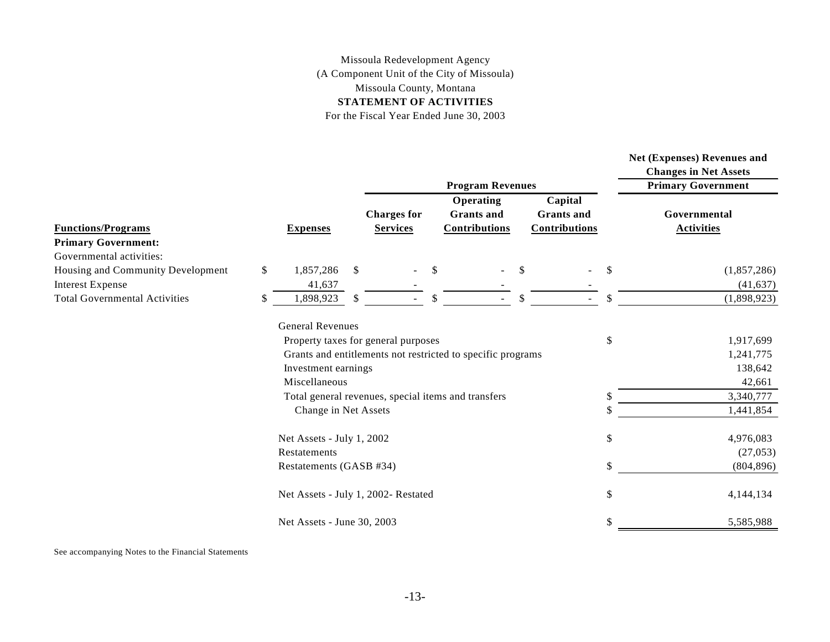## Missoula Redevelopment Agency (A Component Unit of the City of Missoula) Missoula County, Montana **STATEMENT OF ACTIVITIES**

For the Fiscal Year Ended June 30, 2003

|                                                              |              |                                     |              |                                       |              | <b>Program Revenues</b>                                     |              |                                                      |              | <b>Net (Expenses) Revenues and</b><br><b>Changes in Net Assets</b><br><b>Primary Government</b> |
|--------------------------------------------------------------|--------------|-------------------------------------|--------------|---------------------------------------|--------------|-------------------------------------------------------------|--------------|------------------------------------------------------|--------------|-------------------------------------------------------------------------------------------------|
| <b>Functions/Programs</b><br><b>Primary Government:</b>      |              | <b>Expenses</b>                     |              | <b>Charges for</b><br><b>Services</b> |              | Operating<br><b>Grants</b> and<br><b>Contributions</b>      |              | Capital<br><b>Grants</b> and<br><b>Contributions</b> |              | Governmental<br><b>Activities</b>                                                               |
| Governmental activities:                                     |              |                                     |              |                                       |              |                                                             |              |                                                      |              |                                                                                                 |
| Housing and Community Development<br><b>Interest Expense</b> | $\mathbb{S}$ | 1,857,286<br>41,637                 | $\mathbb{S}$ | $\blacksquare$                        | $\mathbb{S}$ |                                                             | $\mathbb{S}$ | $\overline{\phantom{a}}$                             | $\mathbb{S}$ | (1,857,286)<br>(41, 637)                                                                        |
| <b>Total Governmental Activities</b>                         | \$           | 1,898,923                           | \$           |                                       | \$           |                                                             | \$           | $\blacksquare$                                       | \$           | (1,898,923)                                                                                     |
|                                                              |              | <b>General Revenues</b>             |              |                                       |              |                                                             |              |                                                      |              |                                                                                                 |
|                                                              |              | Property taxes for general purposes |              |                                       |              |                                                             |              |                                                      | \$           | 1,917,699                                                                                       |
|                                                              |              |                                     |              |                                       |              | Grants and entitlements not restricted to specific programs |              |                                                      |              | 1,241,775                                                                                       |
|                                                              |              | Investment earnings                 |              |                                       |              |                                                             |              |                                                      |              | 138,642                                                                                         |
|                                                              |              | Miscellaneous                       |              |                                       |              |                                                             |              |                                                      |              | 42,661                                                                                          |
|                                                              |              |                                     |              |                                       |              | Total general revenues, special items and transfers         |              |                                                      |              | 3,340,777                                                                                       |
|                                                              |              | Change in Net Assets                |              |                                       |              |                                                             |              |                                                      |              | 1,441,854                                                                                       |
|                                                              |              | Net Assets - July 1, 2002           |              |                                       |              |                                                             |              |                                                      | \$           | 4,976,083                                                                                       |
|                                                              |              | Restatements                        |              |                                       |              |                                                             |              |                                                      |              | (27, 053)                                                                                       |
|                                                              |              | Restatements (GASB #34)             |              |                                       |              |                                                             |              |                                                      | \$           | (804, 896)                                                                                      |
|                                                              |              | Net Assets - July 1, 2002- Restated |              |                                       |              |                                                             |              |                                                      | \$           | 4,144,134                                                                                       |
|                                                              |              | Net Assets - June 30, 2003          |              |                                       |              |                                                             |              |                                                      | \$           | 5,585,988                                                                                       |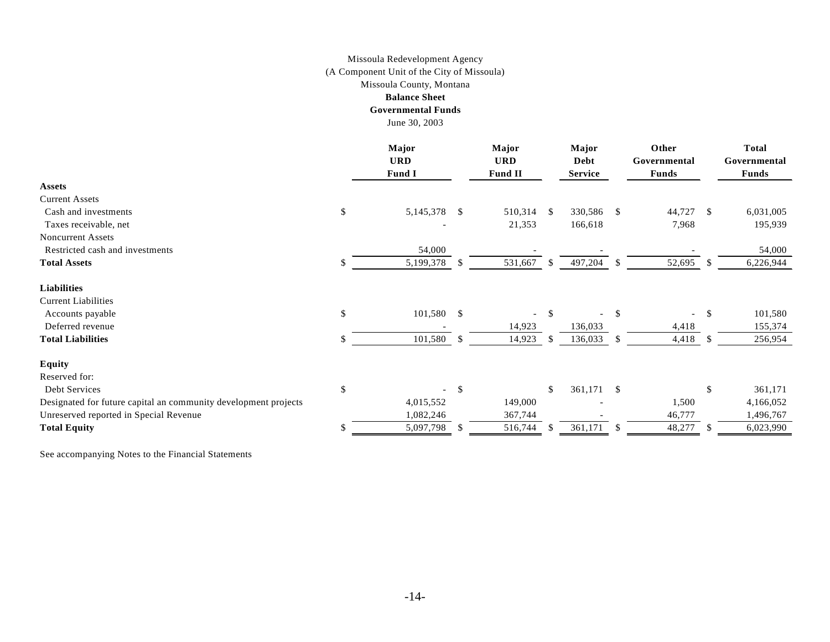#### Missoula Redevelopment Agency Missoula County, Montana (A Component Unit of the City of Missoula)

#### **Balance Sheet**

#### **Governmental Funds**

June 30, 2003

|                                                                 |    | Major<br><b>URD</b> |              | Major<br><b>URD</b> |               | Major<br>Debt  |               | Other<br>Governmental |               | <b>Total</b><br>Governmental |  |
|-----------------------------------------------------------------|----|---------------------|--------------|---------------------|---------------|----------------|---------------|-----------------------|---------------|------------------------------|--|
|                                                                 |    | <b>Fund I</b>       |              | <b>Fund II</b>      |               | <b>Service</b> |               | <b>Funds</b>          |               | Funds                        |  |
| <b>Assets</b>                                                   |    |                     |              |                     |               |                |               |                       |               |                              |  |
| <b>Current Assets</b>                                           |    |                     |              |                     |               |                |               |                       |               |                              |  |
| Cash and investments                                            | \$ | 5, 145, 378         | $^{\circ}$   | 510,314 \$          |               | 330,586        | \$            | 44,727                | -S            | 6,031,005                    |  |
| Taxes receivable, net                                           |    |                     |              | 21,353              |               | 166,618        |               | 7,968                 |               | 195,939                      |  |
| <b>Noncurrent Assets</b>                                        |    |                     |              |                     |               |                |               |                       |               |                              |  |
| Restricted cash and investments                                 |    | 54,000              |              |                     |               |                |               |                       |               | 54,000                       |  |
| <b>Total Assets</b>                                             | S  | 5,199,378           | <sup>S</sup> | 531,667             | <sup>\$</sup> | 497,204        | \$.           | 52,695                | <sup>S</sup>  | 6,226,944                    |  |
| <b>Liabilities</b>                                              |    |                     |              |                     |               |                |               |                       |               |                              |  |
| <b>Current Liabilities</b>                                      |    |                     |              |                     |               |                |               |                       |               |                              |  |
| Accounts payable                                                | \$ | $101,580$ \$        |              | $\blacksquare$      | <sup>\$</sup> |                | \$            |                       | <sup>\$</sup> | 101,580                      |  |
| Deferred revenue                                                |    |                     |              | 14,923              |               | 136,033        |               | 4,418                 |               | 155,374                      |  |
| <b>Total Liabilities</b>                                        | \$ | 101,580 \$          |              | 14,923              | <sup>\$</sup> | 136,033        | S             | 4,418                 | <sup>S</sup>  | 256,954                      |  |
| <b>Equity</b>                                                   |    |                     |              |                     |               |                |               |                       |               |                              |  |
| Reserved for:                                                   |    |                     |              |                     |               |                |               |                       |               |                              |  |
| Debt Services                                                   | \$ |                     | -\$          |                     | $\mathbb{S}$  | 361,171        | $\mathcal{S}$ |                       | \$            | 361,171                      |  |
| Designated for future capital an community development projects |    | 4,015,552           |              | 149,000             |               |                |               | 1,500                 |               | 4,166,052                    |  |
| Unreserved reported in Special Revenue                          |    | 1,082,246           |              | 367,744             |               |                |               | 46,777                |               | 1,496,767                    |  |
| <b>Total Equity</b>                                             | \$ | 5,097,798           | -S           | 516,744             | -S            | 361,171        | S             | 48,277                | -S            | 6,023,990                    |  |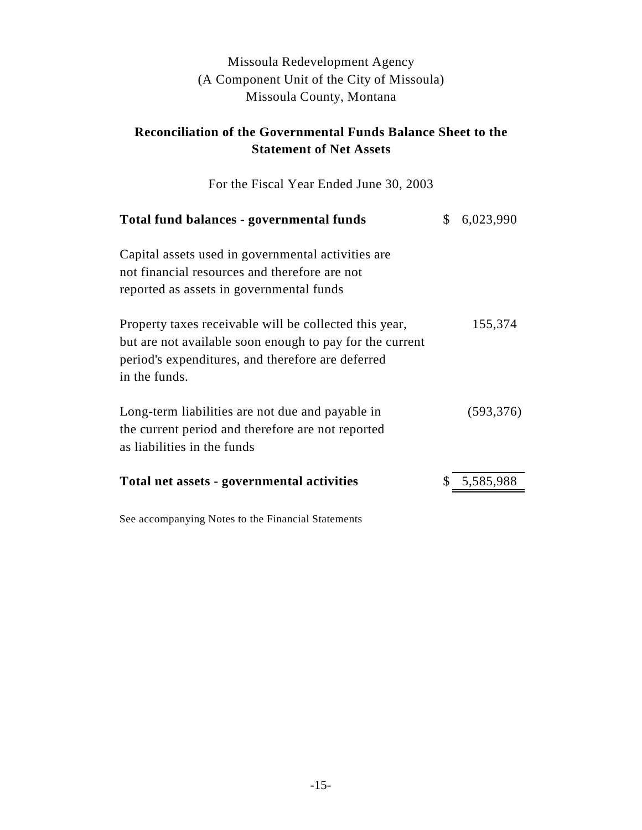# Missoula Redevelopment Agency (A Component Unit of the City of Missoula) Missoula County, Montana

# **Reconciliation of the Governmental Funds Balance Sheet to the Statement of Net Assets**

For the Fiscal Year Ended June 30, 2003

| Total fund balances - governmental funds                                                                                                                                                 | \$<br>6,023,990 |
|------------------------------------------------------------------------------------------------------------------------------------------------------------------------------------------|-----------------|
| Capital assets used in governmental activities are<br>not financial resources and therefore are not<br>reported as assets in governmental funds                                          |                 |
| Property taxes receivable will be collected this year,<br>but are not available soon enough to pay for the current<br>period's expenditures, and therefore are deferred<br>in the funds. | 155,374         |
| Long-term liabilities are not due and payable in<br>the current period and therefore are not reported<br>as liabilities in the funds                                                     | (593, 376)      |
| Total net assets - governmental activities                                                                                                                                               | \$5,585,988     |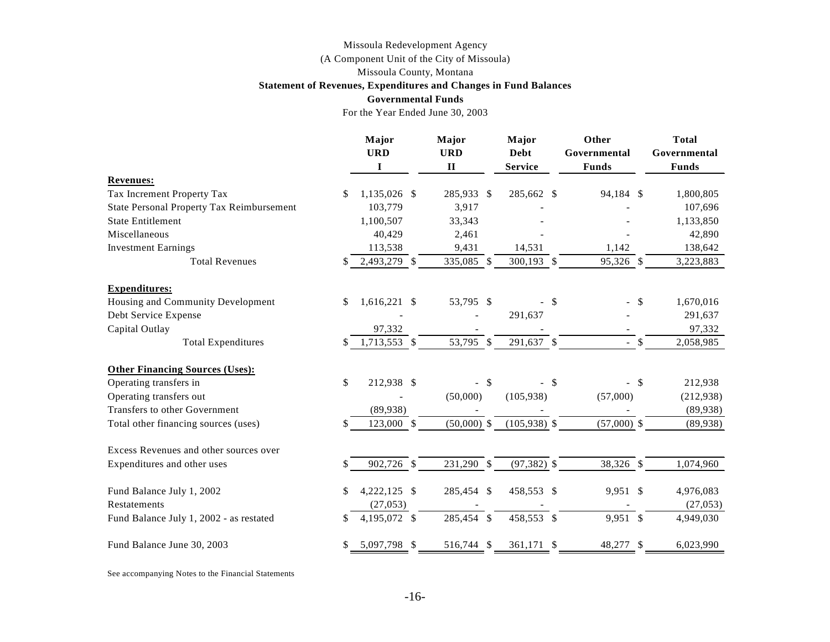# Missoula Redevelopment Agency

(A Component Unit of the City of Missoula)

Missoula County, Montana

#### **Statement of Revenues, Expenditures and Changes in Fund Balances**

|                                                  | <b>Governmental Funds</b>        |                                     |        |                                        |                                       |        |                                              |
|--------------------------------------------------|----------------------------------|-------------------------------------|--------|----------------------------------------|---------------------------------------|--------|----------------------------------------------|
|                                                  | For the Year Ended June 30, 2003 |                                     |        |                                        |                                       |        |                                              |
|                                                  | Major<br><b>URD</b><br>I         | Major<br><b>URD</b><br>$\mathbf{I}$ |        | Major<br><b>Debt</b><br><b>Service</b> | Other<br>Governmental<br><b>Funds</b> |        | <b>Total</b><br>Governmental<br><b>Funds</b> |
| <b>Revenues:</b>                                 |                                  |                                     |        |                                        |                                       |        |                                              |
| Tax Increment Property Tax                       | \$<br>1,135,026 \$               | 285,933 \$                          |        | 285,662 \$                             | 94,184 \$                             |        | 1,800,805                                    |
| <b>State Personal Property Tax Reimbursement</b> | 103,779                          | 3,917                               |        |                                        |                                       |        | 107,696                                      |
| <b>State Entitlement</b>                         | 1,100,507                        | 33,343                              |        |                                        |                                       |        | 1,133,850                                    |
| Miscellaneous                                    | 40,429                           | 2,461                               |        |                                        |                                       |        | 42,890                                       |
| <b>Investment Earnings</b>                       | 113,538                          | 9,431                               |        | 14,531                                 | 1,142                                 |        | 138,642                                      |
| <b>Total Revenues</b>                            | \$<br>2,493,279 \$               | 335,085 \$                          |        | 300,193 \$                             | 95,326 \$                             |        | 3,223,883                                    |
| <b>Expenditures:</b>                             |                                  |                                     |        |                                        |                                       |        |                                              |
| Housing and Community Development                | \$<br>$1,616,221$ \$             | 53,795 \$                           |        | $-$ \$                                 |                                       | -\$    | 1,670,016                                    |
| Debt Service Expense                             |                                  |                                     |        | 291,637                                |                                       |        | 291,637                                      |
| Capital Outlay                                   | 97,332                           |                                     |        |                                        |                                       |        | 97,332                                       |
| <b>Total Expenditures</b>                        | \$<br>1,713,553 \$               | 53,795 \$                           |        | 291,637 \$                             | $-$ \$                                |        | 2,058,985                                    |
| <b>Other Financing Sources (Uses):</b>           |                                  |                                     |        |                                        |                                       |        |                                              |
| Operating transfers in                           | \$<br>212,938 \$                 |                                     | $-$ \$ | - \$                                   |                                       | $-$ \$ | 212,938                                      |
| Operating transfers out                          |                                  | (50,000)                            |        | (105,938)                              | (57,000)                              |        | (212, 938)                                   |
| Transfers to other Government                    | (89,938)                         |                                     |        |                                        |                                       |        | (89, 938)                                    |
| Total other financing sources (uses)             | \$<br>123,000 \$                 | $(50,000)$ \$                       |        | $(105,938)$ \$                         | $(57,000)$ \$                         |        | (89, 938)                                    |
| Excess Revenues and other sources over           |                                  |                                     |        |                                        |                                       |        |                                              |
| Expenditures and other uses                      | 902,726 \$                       | 231,290 \$                          |        | $(97, 382)$ \$                         | 38,326 \$                             |        | 1,074,960                                    |
| Fund Balance July 1, 2002                        | \$<br>4,222,125 \$               | 285,454 \$                          |        | 458,553 \$                             | 9,951 \$                              |        | 4,976,083                                    |
| <b>Restatements</b>                              | (27, 053)                        |                                     |        |                                        |                                       |        | (27, 053)                                    |
| Fund Balance July 1, 2002 - as restated          | 4,195,072 \$                     | 285,454 \$                          |        | 458,553 \$                             | 9,951 \$                              |        | 4,949,030                                    |
| Fund Balance June 30, 2003                       | 5,097,798 \$                     | 516,744 \$                          |        | 361,171 \$                             | 48,277 \$                             |        | 6,023,990                                    |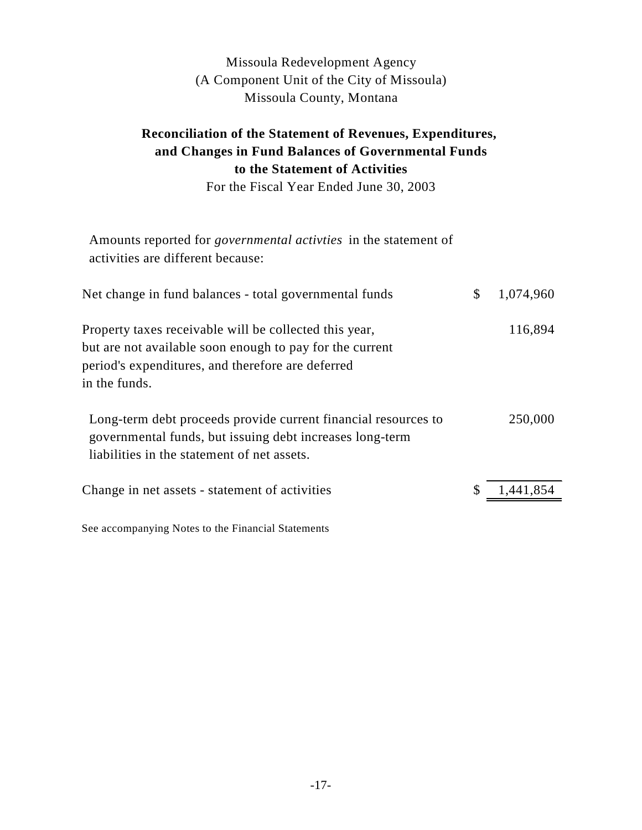# Missoula Redevelopment Agency (A Component Unit of the City of Missoula) Missoula County, Montana

# **Reconciliation of the Statement of Revenues, Expenditures, and Changes in Fund Balances of Governmental Funds to the Statement of Activities**

For the Fiscal Year Ended June 30, 2003

| Amounts reported for <i>governmental activities</i> in the statement of<br>activities are different because:                                                                             |                 |
|------------------------------------------------------------------------------------------------------------------------------------------------------------------------------------------|-----------------|
| Net change in fund balances - total governmental funds                                                                                                                                   | \$<br>1,074,960 |
| Property taxes receivable will be collected this year,<br>but are not available soon enough to pay for the current<br>period's expenditures, and therefore are deferred<br>in the funds. | 116,894         |
| Long-term debt proceeds provide current financial resources to<br>governmental funds, but issuing debt increases long-term<br>liabilities in the statement of net assets.                | 250,000         |
| Change in net assets - statement of activities                                                                                                                                           | 1,441,854       |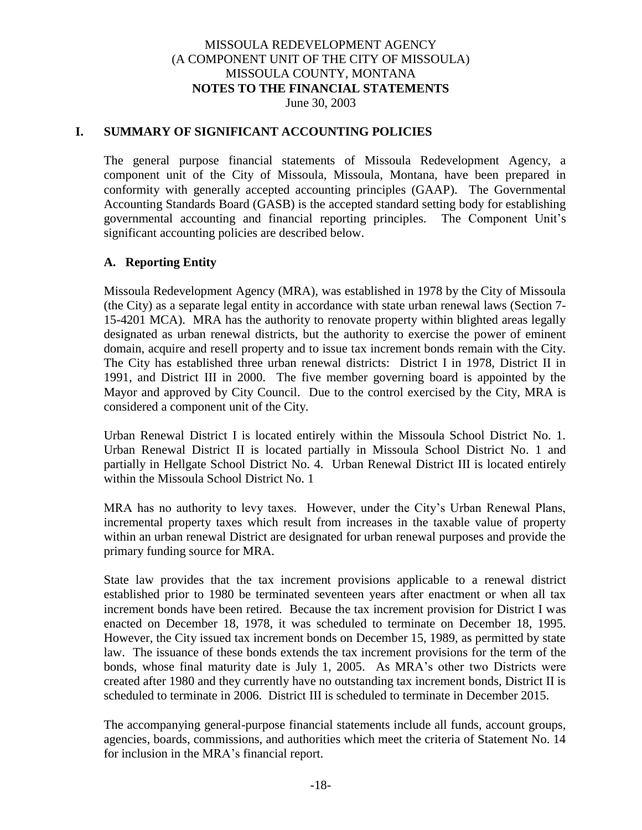#### **I. SUMMARY OF SIGNIFICANT ACCOUNTING POLICIES**

The general purpose financial statements of Missoula Redevelopment Agency, a component unit of the City of Missoula, Missoula, Montana, have been prepared in conformity with generally accepted accounting principles (GAAP). The Governmental Accounting Standards Board (GASB) is the accepted standard setting body for establishing governmental accounting and financial reporting principles. The Component Unit's significant accounting policies are described below.

#### **A. Reporting Entity**

Missoula Redevelopment Agency (MRA), was established in 1978 by the City of Missoula (the City) as a separate legal entity in accordance with state urban renewal laws (Section 7- 15-4201 MCA). MRA has the authority to renovate property within blighted areas legally designated as urban renewal districts, but the authority to exercise the power of eminent domain, acquire and resell property and to issue tax increment bonds remain with the City. The City has established three urban renewal districts: District I in 1978, District II in 1991, and District III in 2000. The five member governing board is appointed by the Mayor and approved by City Council. Due to the control exercised by the City, MRA is considered a component unit of the City.

Urban Renewal District I is located entirely within the Missoula School District No. 1. Urban Renewal District II is located partially in Missoula School District No. 1 and partially in Hellgate School District No. 4. Urban Renewal District III is located entirely within the Missoula School District No. 1

MRA has no authority to levy taxes. However, under the City's Urban Renewal Plans, incremental property taxes which result from increases in the taxable value of property within an urban renewal District are designated for urban renewal purposes and provide the primary funding source for MRA.

State law provides that the tax increment provisions applicable to a renewal district established prior to 1980 be terminated seventeen years after enactment or when all tax increment bonds have been retired. Because the tax increment provision for District I was enacted on December 18, 1978, it was scheduled to terminate on December 18, 1995. However, the City issued tax increment bonds on December 15, 1989, as permitted by state law. The issuance of these bonds extends the tax increment provisions for the term of the bonds, whose final maturity date is July 1, 2005. As MRA's other two Districts were created after 1980 and they currently have no outstanding tax increment bonds, District II is scheduled to terminate in 2006. District III is scheduled to terminate in December 2015.

The accompanying general-purpose financial statements include all funds, account groups, agencies, boards, commissions, and authorities which meet the criteria of Statement No. 14 for inclusion in the MRA's financial report.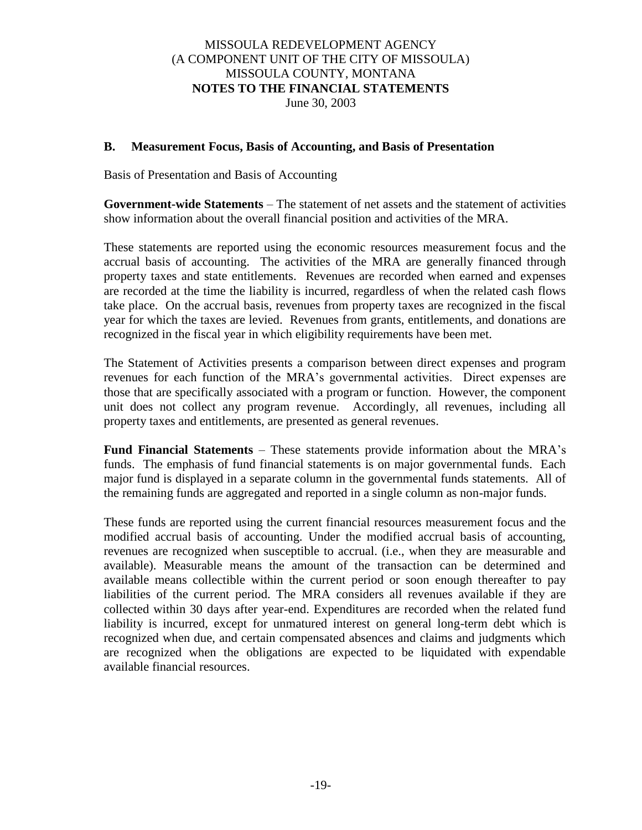#### **B. Measurement Focus, Basis of Accounting, and Basis of Presentation**

Basis of Presentation and Basis of Accounting

**Government-wide Statements** – The statement of net assets and the statement of activities show information about the overall financial position and activities of the MRA.

These statements are reported using the economic resources measurement focus and the accrual basis of accounting. The activities of the MRA are generally financed through property taxes and state entitlements. Revenues are recorded when earned and expenses are recorded at the time the liability is incurred, regardless of when the related cash flows take place. On the accrual basis, revenues from property taxes are recognized in the fiscal year for which the taxes are levied. Revenues from grants, entitlements, and donations are recognized in the fiscal year in which eligibility requirements have been met.

The Statement of Activities presents a comparison between direct expenses and program revenues for each function of the MRA's governmental activities. Direct expenses are those that are specifically associated with a program or function. However, the component unit does not collect any program revenue. Accordingly, all revenues, including all property taxes and entitlements, are presented as general revenues.

**Fund Financial Statements** – These statements provide information about the MRA's funds. The emphasis of fund financial statements is on major governmental funds. Each major fund is displayed in a separate column in the governmental funds statements. All of the remaining funds are aggregated and reported in a single column as non-major funds.

These funds are reported using the current financial resources measurement focus and the modified accrual basis of accounting. Under the modified accrual basis of accounting, revenues are recognized when susceptible to accrual. (i.e., when they are measurable and available). Measurable means the amount of the transaction can be determined and available means collectible within the current period or soon enough thereafter to pay liabilities of the current period. The MRA considers all revenues available if they are collected within 30 days after year-end. Expenditures are recorded when the related fund liability is incurred, except for unmatured interest on general long-term debt which is recognized when due, and certain compensated absences and claims and judgments which are recognized when the obligations are expected to be liquidated with expendable available financial resources.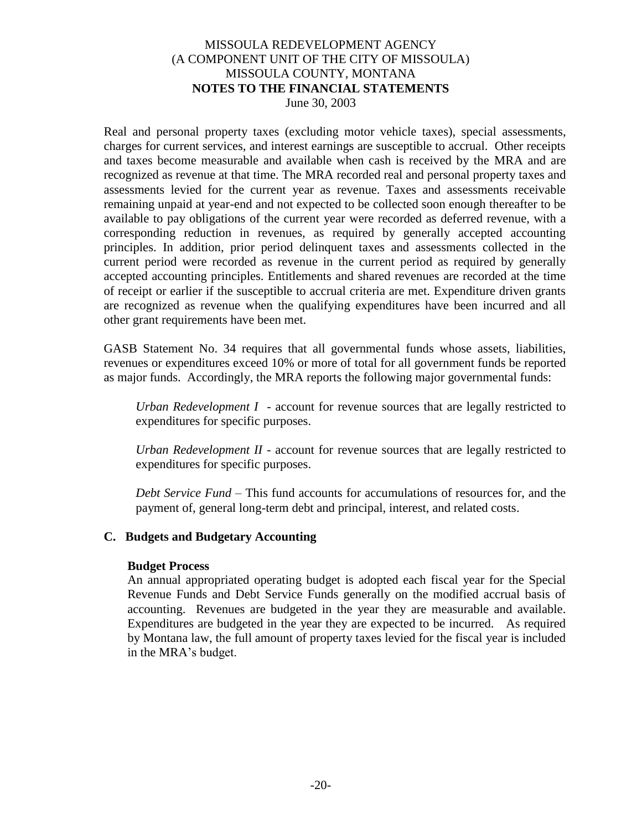Real and personal property taxes (excluding motor vehicle taxes), special assessments, charges for current services, and interest earnings are susceptible to accrual. Other receipts and taxes become measurable and available when cash is received by the MRA and are recognized as revenue at that time. The MRA recorded real and personal property taxes and assessments levied for the current year as revenue. Taxes and assessments receivable remaining unpaid at year-end and not expected to be collected soon enough thereafter to be available to pay obligations of the current year were recorded as deferred revenue, with a corresponding reduction in revenues, as required by generally accepted accounting principles. In addition, prior period delinquent taxes and assessments collected in the current period were recorded as revenue in the current period as required by generally accepted accounting principles. Entitlements and shared revenues are recorded at the time of receipt or earlier if the susceptible to accrual criteria are met. Expenditure driven grants are recognized as revenue when the qualifying expenditures have been incurred and all other grant requirements have been met.

GASB Statement No. 34 requires that all governmental funds whose assets, liabilities, revenues or expenditures exceed 10% or more of total for all government funds be reported as major funds. Accordingly, the MRA reports the following major governmental funds:

*Urban Redevelopment I* - account for revenue sources that are legally restricted to expenditures for specific purposes.

*Urban Redevelopment II* - account for revenue sources that are legally restricted to expenditures for specific purposes.

*Debt Service Fund* – This fund accounts for accumulations of resources for, and the payment of, general long-term debt and principal, interest, and related costs.

#### **C. Budgets and Budgetary Accounting**

#### **Budget Process**

An annual appropriated operating budget is adopted each fiscal year for the Special Revenue Funds and Debt Service Funds generally on the modified accrual basis of accounting. Revenues are budgeted in the year they are measurable and available. Expenditures are budgeted in the year they are expected to be incurred. As required by Montana law, the full amount of property taxes levied for the fiscal year is included in the MRA's budget.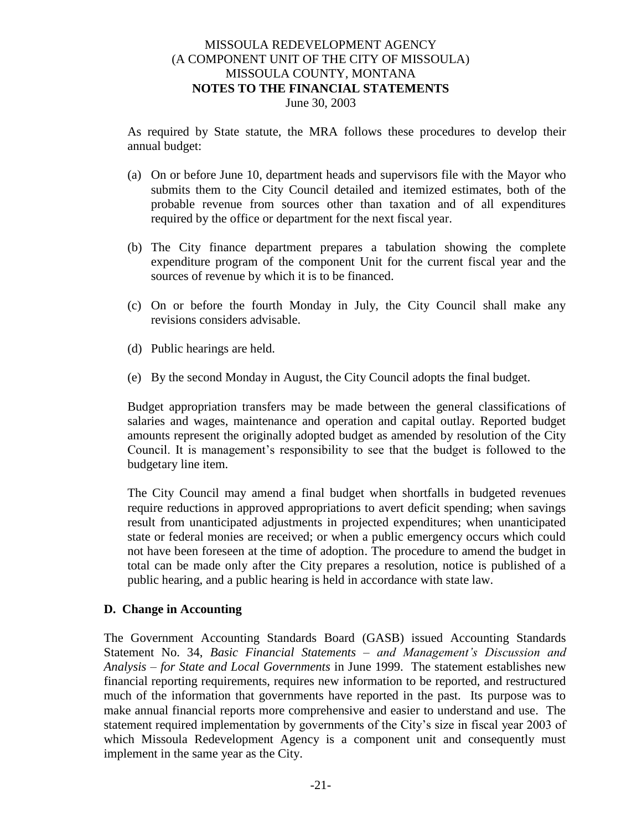As required by State statute, the MRA follows these procedures to develop their annual budget:

- (a) On or before June 10, department heads and supervisors file with the Mayor who submits them to the City Council detailed and itemized estimates, both of the probable revenue from sources other than taxation and of all expenditures required by the office or department for the next fiscal year.
- (b) The City finance department prepares a tabulation showing the complete expenditure program of the component Unit for the current fiscal year and the sources of revenue by which it is to be financed.
- (c) On or before the fourth Monday in July, the City Council shall make any revisions considers advisable.
- (d) Public hearings are held.
- (e) By the second Monday in August, the City Council adopts the final budget.

Budget appropriation transfers may be made between the general classifications of salaries and wages, maintenance and operation and capital outlay. Reported budget amounts represent the originally adopted budget as amended by resolution of the City Council. It is management's responsibility to see that the budget is followed to the budgetary line item.

The City Council may amend a final budget when shortfalls in budgeted revenues require reductions in approved appropriations to avert deficit spending; when savings result from unanticipated adjustments in projected expenditures; when unanticipated state or federal monies are received; or when a public emergency occurs which could not have been foreseen at the time of adoption. The procedure to amend the budget in total can be made only after the City prepares a resolution, notice is published of a public hearing, and a public hearing is held in accordance with state law.

#### **D. Change in Accounting**

The Government Accounting Standards Board (GASB) issued Accounting Standards Statement No. 34, *Basic Financial Statements – and Management's Discussion and Analysis – for State and Local Governments* in June 1999. The statement establishes new financial reporting requirements, requires new information to be reported, and restructured much of the information that governments have reported in the past. Its purpose was to make annual financial reports more comprehensive and easier to understand and use. The statement required implementation by governments of the City's size in fiscal year 2003 of which Missoula Redevelopment Agency is a component unit and consequently must implement in the same year as the City.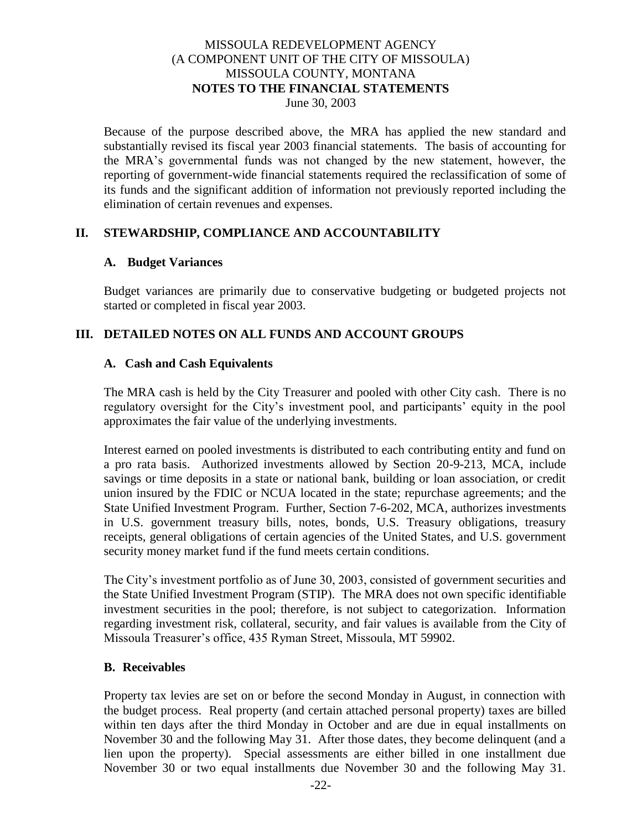Because of the purpose described above, the MRA has applied the new standard and substantially revised its fiscal year 2003 financial statements. The basis of accounting for the MRA's governmental funds was not changed by the new statement, however, the reporting of government-wide financial statements required the reclassification of some of its funds and the significant addition of information not previously reported including the elimination of certain revenues and expenses.

#### **II. STEWARDSHIP, COMPLIANCE AND ACCOUNTABILITY**

#### **A. Budget Variances**

Budget variances are primarily due to conservative budgeting or budgeted projects not started or completed in fiscal year 2003.

#### **III. DETAILED NOTES ON ALL FUNDS AND ACCOUNT GROUPS**

#### **A. Cash and Cash Equivalents**

The MRA cash is held by the City Treasurer and pooled with other City cash. There is no regulatory oversight for the City's investment pool, and participants' equity in the pool approximates the fair value of the underlying investments.

Interest earned on pooled investments is distributed to each contributing entity and fund on a pro rata basis. Authorized investments allowed by Section 20-9-213, MCA, include savings or time deposits in a state or national bank, building or loan association, or credit union insured by the FDIC or NCUA located in the state; repurchase agreements; and the State Unified Investment Program. Further, Section 7-6-202, MCA, authorizes investments in U.S. government treasury bills, notes, bonds, U.S. Treasury obligations, treasury receipts, general obligations of certain agencies of the United States, and U.S. government security money market fund if the fund meets certain conditions.

The City's investment portfolio as of June 30, 2003, consisted of government securities and the State Unified Investment Program (STIP). The MRA does not own specific identifiable investment securities in the pool; therefore, is not subject to categorization. Information regarding investment risk, collateral, security, and fair values is available from the City of Missoula Treasurer's office, 435 Ryman Street, Missoula, MT 59902.

#### **B. Receivables**

Property tax levies are set on or before the second Monday in August, in connection with the budget process. Real property (and certain attached personal property) taxes are billed within ten days after the third Monday in October and are due in equal installments on November 30 and the following May 31. After those dates, they become delinquent (and a lien upon the property). Special assessments are either billed in one installment due November 30 or two equal installments due November 30 and the following May 31.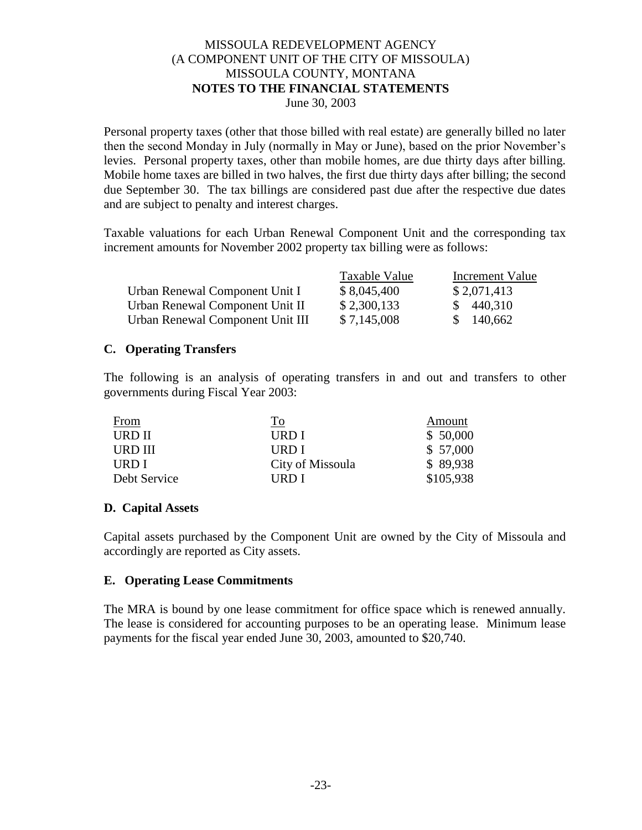Personal property taxes (other that those billed with real estate) are generally billed no later then the second Monday in July (normally in May or June), based on the prior November's levies. Personal property taxes, other than mobile homes, are due thirty days after billing. Mobile home taxes are billed in two halves, the first due thirty days after billing; the second due September 30. The tax billings are considered past due after the respective due dates and are subject to penalty and interest charges.

Taxable valuations for each Urban Renewal Component Unit and the corresponding tax increment amounts for November 2002 property tax billing were as follows:

|                                  | Taxable Value | Increment Value |
|----------------------------------|---------------|-----------------|
| Urban Renewal Component Unit I   | \$8,045,400   | \$2,071,413     |
| Urban Renewal Component Unit II  | \$2,300,133   | \$440,310       |
| Urban Renewal Component Unit III | \$7,145,008   | \$140,662       |

#### **C. Operating Transfers**

The following is an analysis of operating transfers in and out and transfers to other governments during Fiscal Year 2003:

| <b>From</b>   | <u>To</u>        | Amount    |
|---------------|------------------|-----------|
| <b>URD II</b> | URD I            | \$50,000  |
| URD III       | URD I            | \$57,000  |
| URD I         | City of Missoula | \$89,938  |
| Debt Service  | URD I            | \$105,938 |

### **D. Capital Assets**

Capital assets purchased by the Component Unit are owned by the City of Missoula and accordingly are reported as City assets.

#### **E. Operating Lease Commitments**

The MRA is bound by one lease commitment for office space which is renewed annually. The lease is considered for accounting purposes to be an operating lease. Minimum lease payments for the fiscal year ended June 30, 2003, amounted to \$20,740.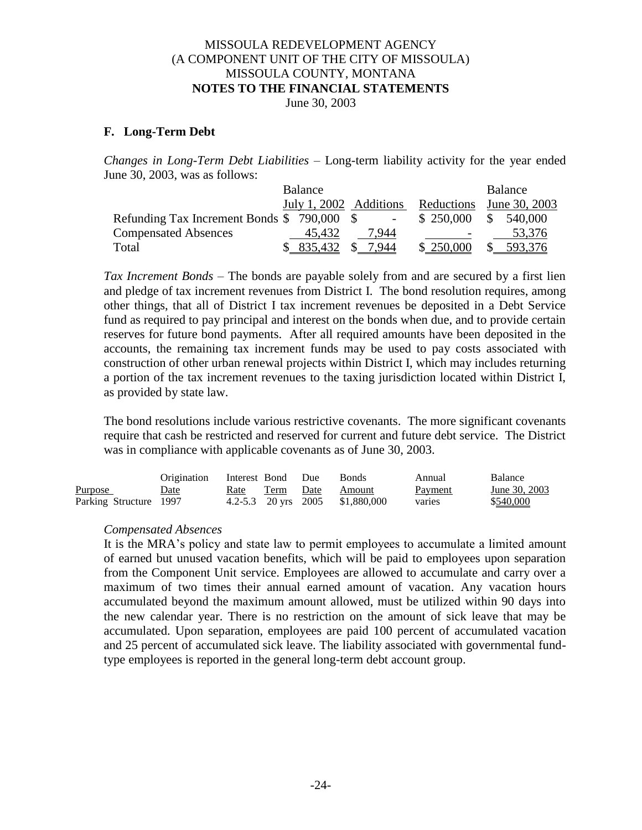June 30, 2003

#### **F. Long-Term Debt**

*Changes in Long-Term Debt Liabilities* – Long-term liability activity for the year ended June 30, 2003, was as follows:

|                                            | Balance                |       |            | Balance       |
|--------------------------------------------|------------------------|-------|------------|---------------|
|                                            | July 1, 2002 Additions |       | Reductions | June 30, 2003 |
| Refunding Tax Increment Bonds \$790,000 \$ |                        |       | \$250,000  | \$540,000     |
| <b>Compensated Absences</b>                | 45.432                 | 7.944 |            | 53,376        |
| Total                                      | \$835,432              | 7.944 | \$ 250,000 | 593,376       |

*Tax Increment Bonds* – The bonds are payable solely from and are secured by a first lien and pledge of tax increment revenues from District I. The bond resolution requires, among other things, that all of District I tax increment revenues be deposited in a Debt Service fund as required to pay principal and interest on the bonds when due, and to provide certain reserves for future bond payments. After all required amounts have been deposited in the accounts, the remaining tax increment funds may be used to pay costs associated with construction of other urban renewal projects within District I, which may includes returning a portion of the tax increment revenues to the taxing jurisdiction located within District I, as provided by state law.

The bond resolutions include various restrictive covenants. The more significant covenants require that cash be restricted and reserved for current and future debt service. The District was in compliance with applicable covenants as of June 30, 2003.

|                        | Origination | Interest Bond Due     |           | <b>Bonds</b> | Annual         | <b>Balance</b> |
|------------------------|-------------|-----------------------|-----------|--------------|----------------|----------------|
| <b>Purpose</b>         | Date        | Rate                  | Term Date | Amount       | <b>Payment</b> | June 30, 2003  |
| Parking Structure 1997 |             | 4.2-5.3 20 yrs $2005$ |           | \$1,880,000  | varies         | \$540,000      |

#### *Compensated Absences*

It is the MRA's policy and state law to permit employees to accumulate a limited amount of earned but unused vacation benefits, which will be paid to employees upon separation from the Component Unit service. Employees are allowed to accumulate and carry over a maximum of two times their annual earned amount of vacation. Any vacation hours accumulated beyond the maximum amount allowed, must be utilized within 90 days into the new calendar year. There is no restriction on the amount of sick leave that may be accumulated. Upon separation, employees are paid 100 percent of accumulated vacation and 25 percent of accumulated sick leave. The liability associated with governmental fundtype employees is reported in the general long-term debt account group.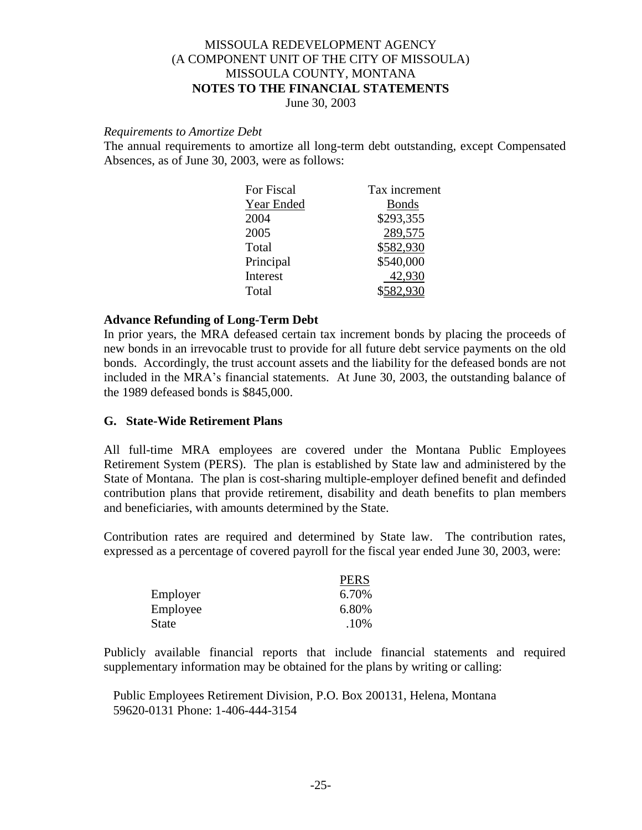June 30, 2003

#### *Requirements to Amortize Debt*

The annual requirements to amortize all long-term debt outstanding, except Compensated Absences, as of June 30, 2003, were as follows:

| For Fiscal | Tax increment |
|------------|---------------|
| Year Ended | <b>Bonds</b>  |
| 2004       | \$293,355     |
| 2005       | 289,575       |
| Total      | \$582,930     |
| Principal  | \$540,000     |
| Interest   | 42,930        |
| Total      |               |
|            |               |

#### **Advance Refunding of Long-Term Debt**

In prior years, the MRA defeased certain tax increment bonds by placing the proceeds of new bonds in an irrevocable trust to provide for all future debt service payments on the old bonds. Accordingly, the trust account assets and the liability for the defeased bonds are not included in the MRA's financial statements. At June 30, 2003, the outstanding balance of the 1989 defeased bonds is \$845,000.

#### **G. State-Wide Retirement Plans**

All full-time MRA employees are covered under the Montana Public Employees Retirement System (PERS). The plan is established by State law and administered by the State of Montana. The plan is cost-sharing multiple-employer defined benefit and definded contribution plans that provide retirement, disability and death benefits to plan members and beneficiaries, with amounts determined by the State.

Contribution rates are required and determined by State law. The contribution rates, expressed as a percentage of covered payroll for the fiscal year ended June 30, 2003, were:

|          | <b>PERS</b> |
|----------|-------------|
| Employer | 6.70%       |
| Employee | 6.80%       |
| State    | .10%        |

Publicly available financial reports that include financial statements and required supplementary information may be obtained for the plans by writing or calling:

Public Employees Retirement Division, P.O. Box 200131, Helena, Montana 59620-0131 Phone: 1-406-444-3154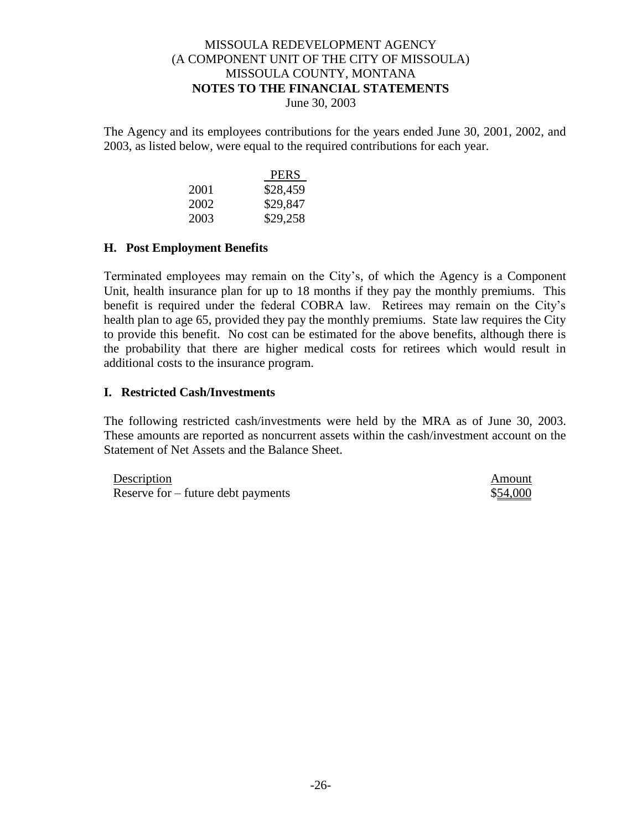The Agency and its employees contributions for the years ended June 30, 2001, 2002, and 2003, as listed below, were equal to the required contributions for each year.

|      | <b>PERS</b> |
|------|-------------|
| 2001 | \$28,459    |
| 2002 | \$29,847    |
| 2003 | \$29,258    |

#### **H. Post Employment Benefits**

Terminated employees may remain on the City's, of which the Agency is a Component Unit, health insurance plan for up to 18 months if they pay the monthly premiums. This benefit is required under the federal COBRA law. Retirees may remain on the City's health plan to age 65, provided they pay the monthly premiums. State law requires the City to provide this benefit. No cost can be estimated for the above benefits, although there is the probability that there are higher medical costs for retirees which would result in additional costs to the insurance program.

#### **I. Restricted Cash/Investments**

The following restricted cash/investments were held by the MRA as of June 30, 2003. These amounts are reported as noncurrent assets within the cash/investment account on the Statement of Net Assets and the Balance Sheet.

| Description                          | Amount   |
|--------------------------------------|----------|
| Reserve for $-$ future debt payments | \$54,000 |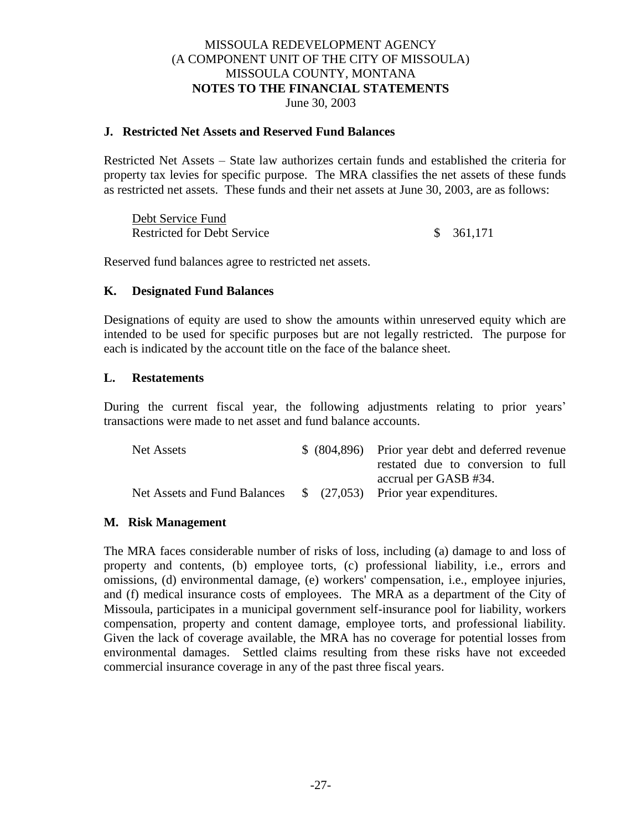#### **J. Restricted Net Assets and Reserved Fund Balances**

Restricted Net Assets – State law authorizes certain funds and established the criteria for property tax levies for specific purpose. The MRA classifies the net assets of these funds as restricted net assets. These funds and their net assets at June 30, 2003, are as follows:

| Debt Service Fund                  |           |
|------------------------------------|-----------|
| <b>Restricted for Debt Service</b> | \$361,171 |

Reserved fund balances agree to restricted net assets.

#### **K. Designated Fund Balances**

Designations of equity are used to show the amounts within unreserved equity which are intended to be used for specific purposes but are not legally restricted. The purpose for each is indicated by the account title on the face of the balance sheet.

#### **L. Restatements**

During the current fiscal year, the following adjustments relating to prior years' transactions were made to net asset and fund balance accounts.

| Net Assets                                                        |  | \$ (804,896) Prior year debt and deferred revenue |
|-------------------------------------------------------------------|--|---------------------------------------------------|
|                                                                   |  | restated due to conversion to full                |
|                                                                   |  | accrual per GASB #34.                             |
| Net Assets and Fund Balances \$ (27,053) Prior year expenditures. |  |                                                   |

#### **M. Risk Management**

The MRA faces considerable number of risks of loss, including (a) damage to and loss of property and contents, (b) employee torts, (c) professional liability, i.e., errors and omissions, (d) environmental damage, (e) workers' compensation, i.e., employee injuries, and (f) medical insurance costs of employees. The MRA as a department of the City of Missoula, participates in a municipal government self-insurance pool for liability, workers compensation, property and content damage, employee torts, and professional liability. Given the lack of coverage available, the MRA has no coverage for potential losses from environmental damages. Settled claims resulting from these risks have not exceeded commercial insurance coverage in any of the past three fiscal years.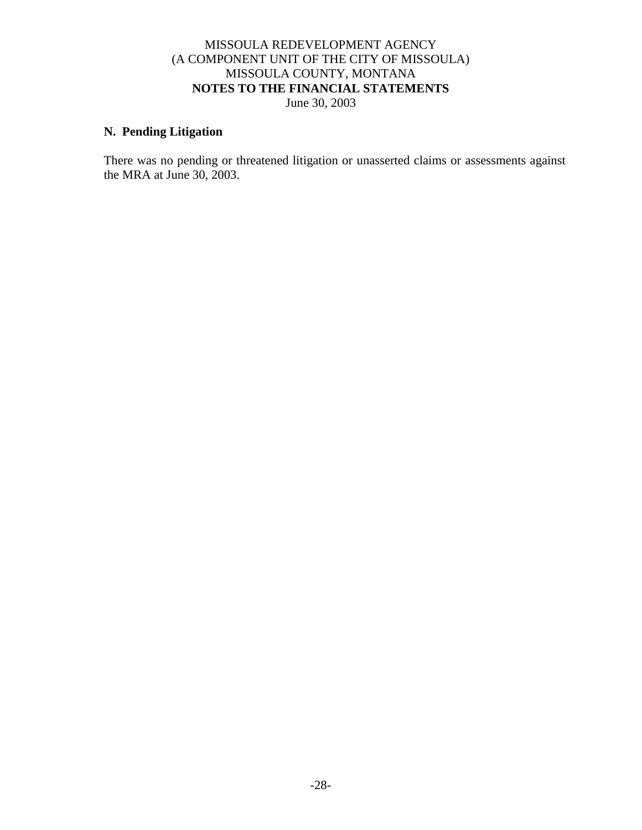#### **N. Pending Litigation**

There was no pending or threatened litigation or unasserted claims or assessments against the MRA at June 30, 2003.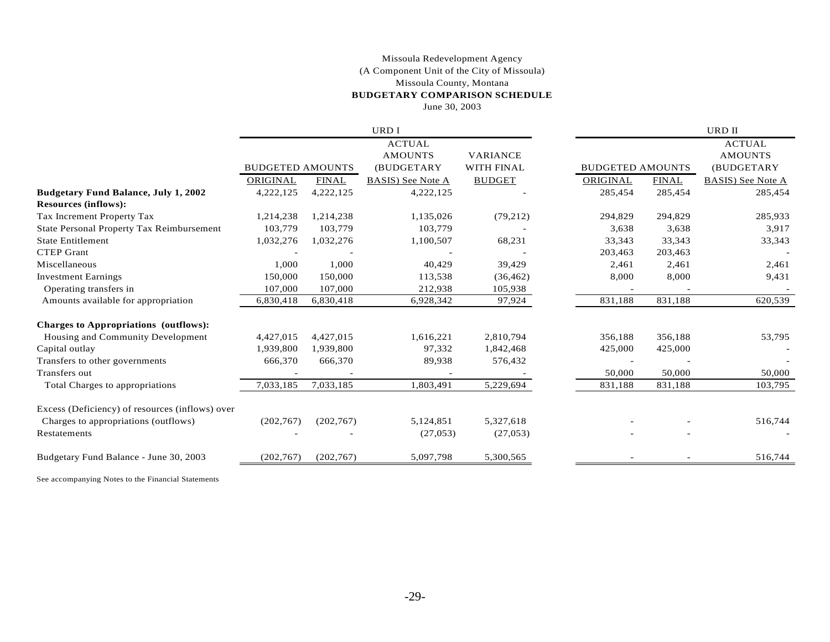#### (A Component Unit of the City of Missoula) **BUDGETARY COMPARISON SCHEDULE** June 30, 2003 Missoula Redevelopment Agency Missoula County, Montana

|            |              | URD I                   |                   |          |              | URD II                  |
|------------|--------------|-------------------------|-------------------|----------|--------------|-------------------------|
|            |              | <b>ACTUAL</b>           |                   |          |              | <b>ACTUAL</b>           |
|            |              | <b>AMOUNTS</b>          | <b>VARIANCE</b>   |          |              | <b>AMOUNTS</b>          |
|            |              | (BUDGETARY              | <b>WITH FINAL</b> |          |              | (BUDGETARY              |
| ORIGINAL   | <b>FINAL</b> | BASIS) See Note A       | <b>BUDGET</b>     | ORIGINAL | <b>FINAL</b> | BASIS) See Note A       |
| 4,222,125  | 4,222,125    | 4,222,125               |                   | 285,454  | 285,454      | 285,454                 |
|            |              |                         |                   |          |              |                         |
| 1,214,238  | 1,214,238    | 1,135,026               | (79,212)          | 294,829  | 294,829      | 285,933                 |
| 103,779    | 103,779      | 103,779                 |                   | 3,638    | 3,638        | 3,917                   |
| 1,032,276  | 1,032,276    | 1,100,507               | 68,231            | 33,343   | 33,343       | 33,343                  |
|            |              |                         |                   | 203,463  | 203,463      |                         |
| 1,000      | 1,000        | 40,429                  | 39,429            | 2,461    | 2,461        | 2,461                   |
| 150,000    | 150,000      | 113,538                 | (36, 462)         | 8,000    | 8,000        | 9,431                   |
| 107,000    | 107,000      | 212,938                 | 105,938           |          |              |                         |
| 6,830,418  | 6,830,418    | 6,928,342               | 97,924            | 831,188  | 831,188      | 620,539                 |
|            |              |                         |                   |          |              |                         |
| 4,427,015  | 4,427,015    | 1,616,221               | 2,810,794         | 356,188  | 356,188      | 53,795                  |
| 1,939,800  | 1,939,800    | 97,332                  | 1,842,468         | 425,000  | 425,000      |                         |
| 666,370    | 666,370      | 89,938                  | 576,432           |          |              |                         |
|            |              |                         |                   | 50,000   | 50,000       | 50,000                  |
| 7.033.185  | 7.033.185    | 1,803,491               | 5,229,694         | 831,188  | 831,188      | 103,795                 |
|            |              |                         |                   |          |              |                         |
| (202,767)  | (202,767)    | 5,124,851               | 5,327,618         |          |              | 516,744                 |
|            |              | (27,053)                | (27,053)          |          |              |                         |
| (202, 767) | (202,767)    | 5,097,798               | 5,300,565         |          |              | 516,744                 |
|            |              | <b>BUDGETED AMOUNTS</b> |                   |          |              | <b>BUDGETED AMOUNTS</b> |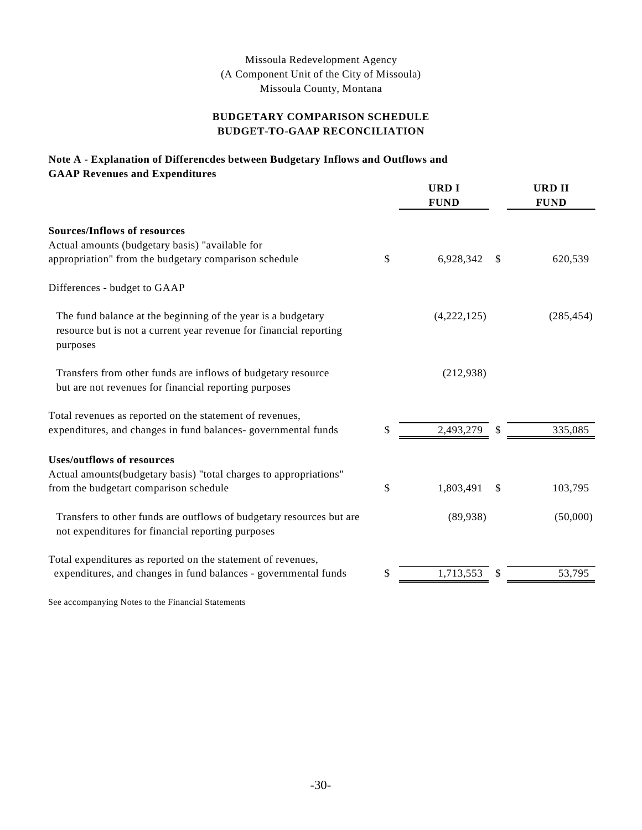#### Missoula Redevelopment Agency (A Component Unit of the City of Missoula) Missoula County, Montana

#### **BUDGET-TO-GAAP RECONCILIATION BUDGETARY COMPARISON SCHEDULE**

#### **Note A - Explanation of Differencdes between Budgetary Inflows and Outflows and GAAP Revenues and Expenditures**

|                                                                                                                                                | <b>URDI</b><br><b>FUND</b> | <b>URD II</b><br><b>FUND</b> |
|------------------------------------------------------------------------------------------------------------------------------------------------|----------------------------|------------------------------|
| <b>Sources/Inflows of resources</b>                                                                                                            |                            |                              |
| Actual amounts (budgetary basis) "available for                                                                                                |                            |                              |
| appropriation" from the budgetary comparison schedule                                                                                          | \$<br>6,928,342            | \$<br>620,539                |
| Differences - budget to GAAP                                                                                                                   |                            |                              |
| The fund balance at the beginning of the year is a budgetary<br>resource but is not a current year revenue for financial reporting<br>purposes | (4,222,125)                | (285, 454)                   |
| Transfers from other funds are inflows of budgetary resource<br>but are not revenues for financial reporting purposes                          | (212,938)                  |                              |
| Total revenues as reported on the statement of revenues,                                                                                       |                            |                              |
| expenditures, and changes in fund balances-governmental funds                                                                                  | \$<br>2,493,279            | \$<br>335,085                |
| <b>Uses/outflows of resources</b><br>Actual amounts (budgetary basis) "total charges to appropriations"                                        |                            |                              |
| from the budgetart comparison schedule                                                                                                         | \$<br>1,803,491            | \$<br>103,795                |
| Transfers to other funds are outflows of budgetary resources but are<br>not expenditures for financial reporting purposes                      | (89,938)                   | (50,000)                     |
| Total expenditures as reported on the statement of revenues,<br>expenditures, and changes in fund balances - governmental funds                | \$<br>1,713,553            | 53,795                       |
|                                                                                                                                                |                            |                              |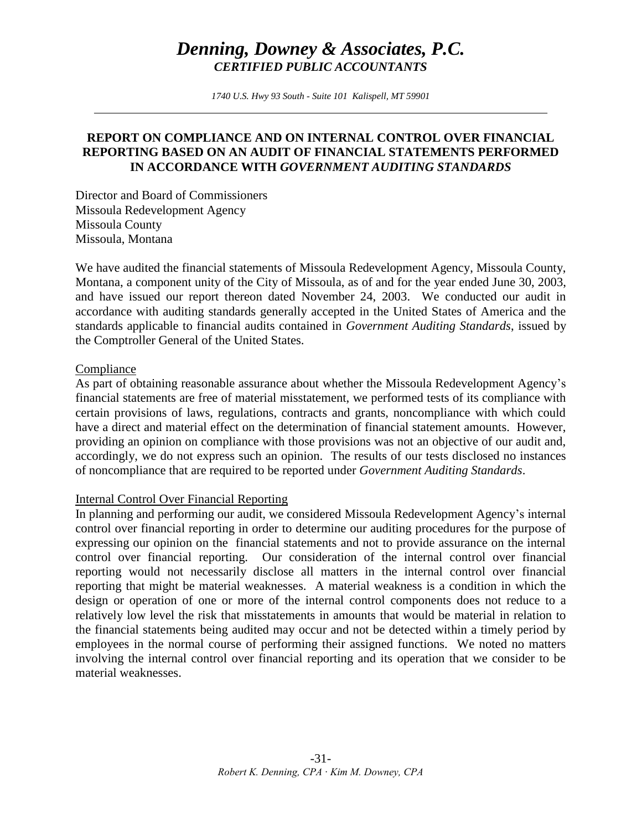# *Denning, Downey & Associates, P.C. CERTIFIED PUBLIC ACCOUNTANTS*

*1740 U.S. Hwy 93 South - Suite 101 Kalispell, MT 59901*

### **REPORT ON COMPLIANCE AND ON INTERNAL CONTROL OVER FINANCIAL REPORTING BASED ON AN AUDIT OF FINANCIAL STATEMENTS PERFORMED IN ACCORDANCE WITH** *GOVERNMENT AUDITING STANDARDS*

Director and Board of Commissioners Missoula Redevelopment Agency Missoula County Missoula, Montana

We have audited the financial statements of Missoula Redevelopment Agency, Missoula County, Montana, a component unity of the City of Missoula, as of and for the year ended June 30, 2003, and have issued our report thereon dated November 24, 2003. We conducted our audit in accordance with auditing standards generally accepted in the United States of America and the standards applicable to financial audits contained in *Government Auditing Standards*, issued by the Comptroller General of the United States.

#### Compliance

As part of obtaining reasonable assurance about whether the Missoula Redevelopment Agency's financial statements are free of material misstatement, we performed tests of its compliance with certain provisions of laws, regulations, contracts and grants, noncompliance with which could have a direct and material effect on the determination of financial statement amounts. However, providing an opinion on compliance with those provisions was not an objective of our audit and, accordingly, we do not express such an opinion. The results of our tests disclosed no instances of noncompliance that are required to be reported under *Government Auditing Standards*.

#### Internal Control Over Financial Reporting

In planning and performing our audit, we considered Missoula Redevelopment Agency's internal control over financial reporting in order to determine our auditing procedures for the purpose of expressing our opinion on the financial statements and not to provide assurance on the internal control over financial reporting. Our consideration of the internal control over financial reporting would not necessarily disclose all matters in the internal control over financial reporting that might be material weaknesses. A material weakness is a condition in which the design or operation of one or more of the internal control components does not reduce to a relatively low level the risk that misstatements in amounts that would be material in relation to the financial statements being audited may occur and not be detected within a timely period by employees in the normal course of performing their assigned functions. We noted no matters involving the internal control over financial reporting and its operation that we consider to be material weaknesses.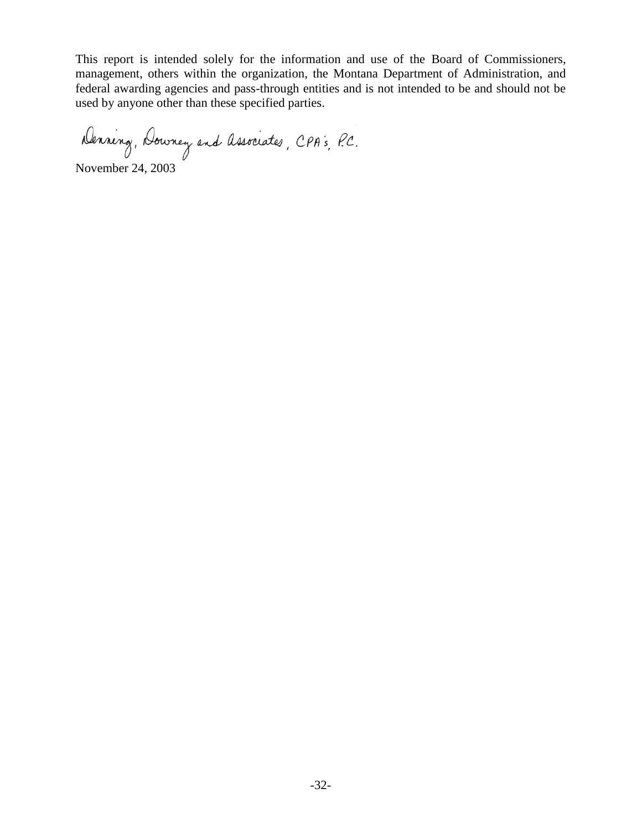This report is intended solely for the information and use of the Board of Commissioners, management, others within the organization, the Montana Department of Administration, and federal awarding agencies and pass-through entities and is not intended to be and should not be used by anyone other than these specified parties.

Denning, Downey and Associates, CPA's, P.C.

November 24, 2003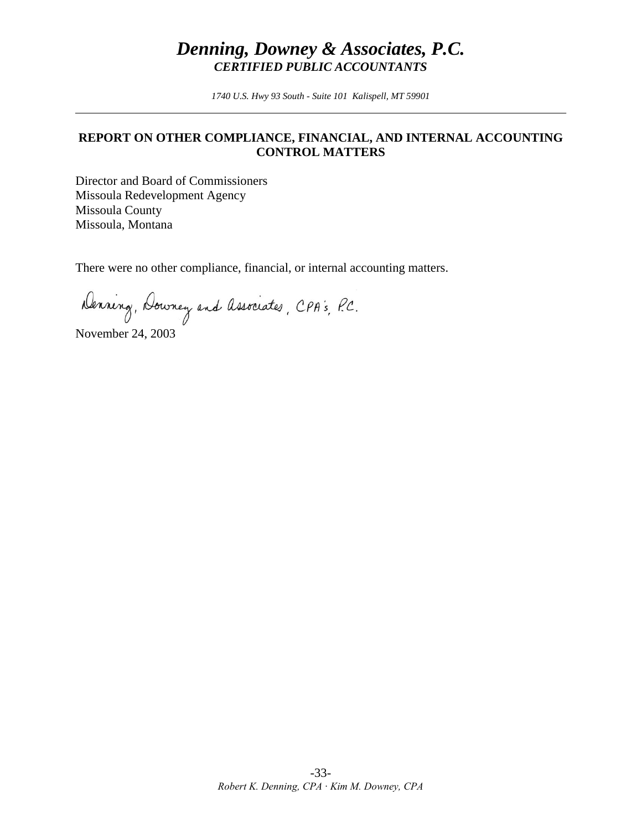# *Denning, Downey & Associates, P.C. CERTIFIED PUBLIC ACCOUNTANTS*

*1740 U.S. Hwy 93 South - Suite 101 Kalispell, MT 59901* 

#### **REPORT ON OTHER COMPLIANCE, FINANCIAL, AND INTERNAL ACCOUNTING CONTROL MATTERS**

Director and Board of Commissioners Missoula Redevelopment Agency Missoula County Missoula, Montana

There were no other compliance, financial, or internal accounting matters.

Denning, Downey and Associates, CPA's, P.C.

November 24, 2003